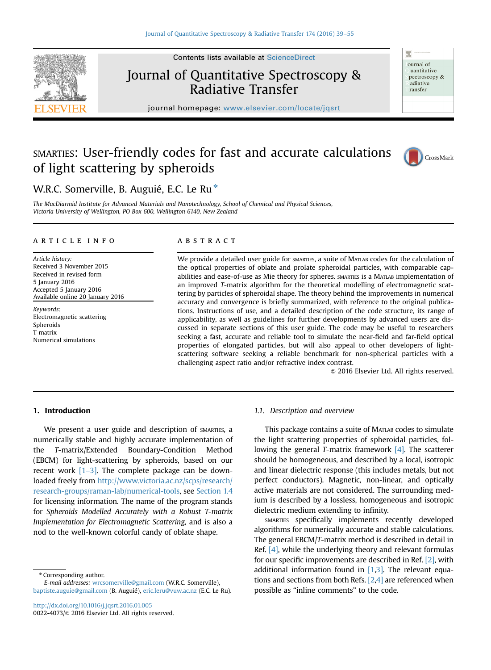

# Journal of Quantitative Spectroscopy & Radiative Transfer

journal homepage: <www.elsevier.com/locate/jqsrt>

## SMARTIES: User-friendly codes for fast and accurate calculations of light scattering by spheroids



骤 ournal of uantitative pectroscopy & adiative ransfer

## W.R.C. Somerville, B. Auguié, E.C. Le Ru $^*$

The MacDiarmid Institute for Advanced Materials and Nanotechnology, School of Chemical and Physical Sciences, Victoria University of Wellington, PO Box 600, Wellington 6140, New Zealand

#### article info

Article history: Received 3 November 2015 Received in revised form 5 January 2016 Accepted 5 January 2016 Available online 20 January 2016

Keywords: Electromagnetic scattering **Spheroids** T-matrix Numerical simulations

#### **ABSTRACT**

We provide a detailed user guide for SMARTIES, a suite of MATLAB codes for the calculation of the optical properties of oblate and prolate spheroidal particles, with comparable capabilities and ease-of-use as Mie theory for spheres. SMARTIES is a MATLAB implementation of an improved T-matrix algorithm for the theoretical modelling of electromagnetic scattering by particles of spheroidal shape. The theory behind the improvements in numerical accuracy and convergence is briefly summarized, with reference to the original publications. Instructions of use, and a detailed description of the code structure, its range of applicability, as well as guidelines for further developments by advanced users are discussed in separate sections of this user guide. The code may be useful to researchers seeking a fast, accurate and reliable tool to simulate the near-field and far-field optical properties of elongated particles, but will also appeal to other developers of lightscattering software seeking a reliable benchmark for non-spherical particles with a challenging aspect ratio and/or refractive index contrast.

 $\odot$  2016 Elsevier Ltd. All rights reserved.

## 1. Introduction

We present a user guide and description of SMARTIES, a numerically stable and highly accurate implementation of the T-matrix/Extended Boundary-Condition Method (EBCM) for light-scattering by spheroids, based on our recent work  $[1-3]$  $[1-3]$ . The complete package can be downloaded freely from [http://www.victoria.ac.nz/scps/research/](http://www.victoria.ac.nz/scps/research/research-groups/raman-lab/numerical-tools) [research-groups/raman-lab/numerical-tools](http://www.victoria.ac.nz/scps/research/research-groups/raman-lab/numerical-tools), see [Section 1.4](#page-2-0) for licensing information. The name of the program stands for Spheroids Modelled Accurately with a Robust T-matrix Implementation for Electromagnetic Scattering, and is also a nod to the well-known colorful candy of oblate shape.

Corresponding author.

E-mail addresses: [wrcsomerville@gmail.com](mailto:wrcsomerville@gmail.com) (W.R.C. Somerville), [baptiste.auguie@gmail.com](mailto:baptiste.auguie@gmail.com) (B. Auguié), [eric.leru@vuw.ac.nz](mailto:eric.leru@vuw.ac.nz) (E.C. Le Ru).

#### 1.1. Description and overview

This package contains a suite of MATLAB codes to simulate the light scattering properties of spheroidal particles, following the general T-matrix framework  $[4]$ . The scatterer should be homogeneous, and described by a local, isotropic and linear dielectric response (this includes metals, but not perfect conductors). Magnetic, non-linear, and optically active materials are not considered. The surrounding medium is described by a lossless, homogeneous and isotropic dielectric medium extending to infinity.

SMARTIES specifically implements recently developed algorithms for numerically accurate and stable calculations. The general EBCM/T-matrix method is described in detail in Ref. [\[4\]](#page-16-0), while the underlying theory and relevant formulas for our specific improvements are described in Ref.  $[2]$ , with additional information found in  $[1,3]$ . The relevant equations and sections from both Refs. [\[2,4\]](#page-16-0) are referenced when possible as "inline comments" to the code.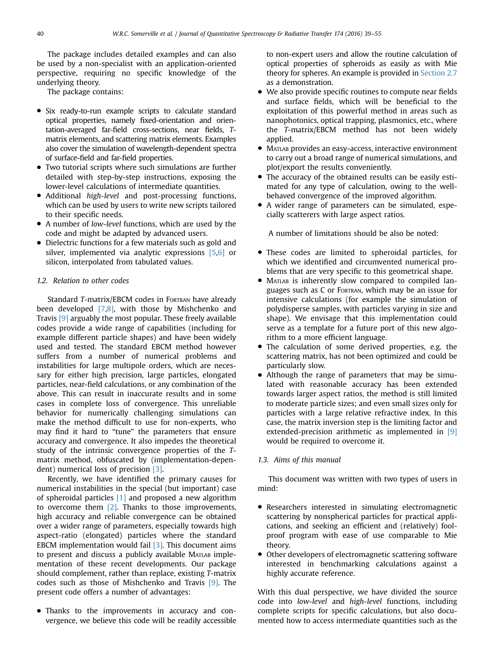The package includes detailed examples and can also be used by a non-specialist with an application-oriented perspective, requiring no specific knowledge of the underlying theory.

The package contains:

- Six ready-to-run example scripts to calculate standard optical properties, namely fixed-orientation and orientation-averaged far-field cross-sections, near fields, Tmatrix elements, and scattering matrix elements. Examples also cover the simulation of wavelength-dependent spectra of surface-field and far-field properties.
- Two tutorial scripts where such simulations are further detailed with step-by-step instructions, exposing the lower-level calculations of intermediate quantities.
- Additional high-level and post-processing functions, which can be used by users to write new scripts tailored to their specific needs.
- A number of low-level functions, which are used by the code and might be adapted by advanced users.
- Dielectric functions for a few materials such as gold and silver, implemented via analytic expressions [\[5,6\]](#page-16-0) or silicon, interpolated from tabulated values.

### 1.2. Relation to other codes

Standard T-matrix/EBCM codes in FORTRAN have already been developed [\[7,8\]](#page-16-0), with those by Mishchenko and Travis [\[9\]](#page-16-0) arguably the most popular. These freely available codes provide a wide range of capabilities (including for example different particle shapes) and have been widely used and tested. The standard EBCM method however suffers from a number of numerical problems and instabilities for large multipole orders, which are necessary for either high precision, large particles, elongated particles, near-field calculations, or any combination of the above. This can result in inaccurate results and in some cases in complete loss of convergence. This unreliable behavior for numerically challenging simulations can make the method difficult to use for non-experts, who may find it hard to "tune" the parameters that ensure accuracy and convergence. It also impedes the theoretical study of the intrinsic convergence properties of the Tmatrix method, obfuscated by (implementation-dependent) numerical loss of precision [\[3\].](#page-16-0)

Recently, we have identified the primary causes for numerical instabilities in the special (but important) case of spheroidal particles [\[1\]](#page-16-0) and proposed a new algorithm to overcome them  $[2]$ . Thanks to those improvements, high accuracy and reliable convergence can be obtained over a wider range of parameters, especially towards high aspect-ratio (elongated) particles where the standard EBCM implementation would fail [\[3\]](#page-16-0). This document aims to present and discuss a publicly available MATLAB implementation of these recent developments. Our package should complement, rather than replace, existing T-matrix codes such as those of Mishchenko and Travis [\[9\]](#page-16-0). The present code offers a number of advantages:

 Thanks to the improvements in accuracy and convergence, we believe this code will be readily accessible to non-expert users and allow the routine calculation of optical properties of spheroids as easily as with Mie theory for spheres. An example is provided in [Section 2.7](#page-5-0) as a demonstration.

- We also provide specific routines to compute near fields and surface fields, which will be beneficial to the exploitation of this powerful method in areas such as nanophotonics, optical trapping, plasmonics, etc., where the T-matrix/EBCM method has not been widely applied.
- MATLAB provides an easy-access, interactive environment to carry out a broad range of numerical simulations, and plot/export the results conveniently.
- The accuracy of the obtained results can be easily estimated for any type of calculation, owing to the wellbehaved convergence of the improved algorithm.
- A wider range of parameters can be simulated, especially scatterers with large aspect ratios.

A number of limitations should be also be noted:

- These codes are limited to spheroidal particles, for which we identified and circumvented numerical problems that are very specific to this geometrical shape.
- MATLAB is inherently slow compared to compiled languages such as C or FORTRAN, which may be an issue for intensive calculations (for example the simulation of polydisperse samples, with particles varying in size and shape). We envisage that this implementation could serve as a template for a future port of this new algorithm to a more efficient language.
- The calculation of some derived properties, e.g. the scattering matrix, has not been optimized and could be particularly slow.
- Although the range of parameters that may be simulated with reasonable accuracy has been extended towards larger aspect ratios, the method is still limited to moderate particle sizes; and even small sizes only for particles with a large relative refractive index. In this case, the matrix inversion step is the limiting factor and extended-precision arithmetic as implemented in [\[9\]](#page-16-0) would be required to overcome it.

### 1.3. Aims of this manual

This document was written with two types of users in mind:

- Researchers interested in simulating electromagnetic scattering by nonspherical particles for practical applications, and seeking an efficient and (relatively) foolproof program with ease of use comparable to Mie theory.
- Other developers of electromagnetic scattering software interested in benchmarking calculations against a highly accurate reference.

With this dual perspective, we have divided the source code into low-level and high-level functions, including complete scripts for specific calculations, but also documented how to access intermediate quantities such as the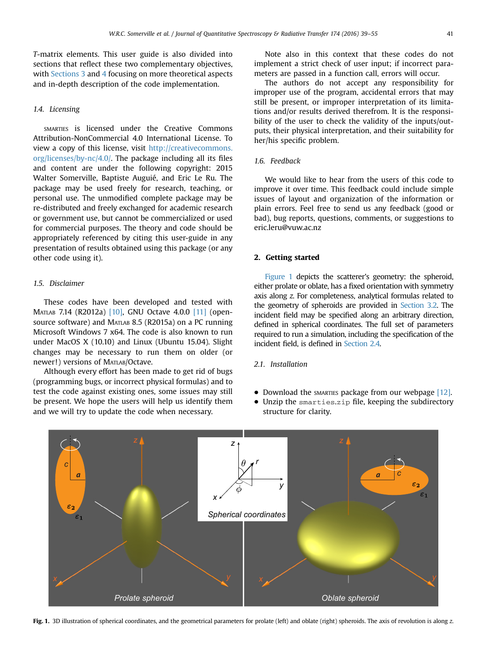<span id="page-2-0"></span>T-matrix elements. This user guide is also divided into sections that reflect these two complementary objectives, with [Sections 3](#page-6-0) and [4](#page-12-0) focusing on more theoretical aspects and in-depth description of the code implementation.

## 1.4. Licensing

SMARTIES is licensed under the Creative Commons Attribution-NonCommercial 4.0 International License. To view a copy of this license, visit [http://creativecommons.](http://creativecommons.org/licenses/by-nc/4.0/) [org/licenses/by-nc/4.0/.](http://creativecommons.org/licenses/by-nc/4.0/) The package including all its files and content are under the following copyright: 2015 Walter Somerville, Baptiste Auguié, and Eric Le Ru. The package may be used freely for research, teaching, or personal use. The unmodified complete package may be re-distributed and freely exchanged for academic research or government use, but cannot be commercialized or used for commercial purposes. The theory and code should be appropriately referenced by citing this user-guide in any presentation of results obtained using this package (or any other code using it).

#### 1.5. Disclaimer

These codes have been developed and tested with MATLAB 7.14 (R2012a) [\[10\],](#page-16-0) GNU Octave 4.0.0 [\[11\]](#page-16-0) (opensource software) and MATLAB 8.5 (R2015a) on a PC running Microsoft Windows 7 x64. The code is also known to run under MacOS X (10.10) and Linux (Ubuntu 15.04). Slight changes may be necessary to run them on older (or newer!) versions of MATLAB/Octave.

Although every effort has been made to get rid of bugs (programming bugs, or incorrect physical formulas) and to test the code against existing ones, some issues may still be present. We hope the users will help us identify them and we will try to update the code when necessary.

Note also in this context that these codes do not implement a strict check of user input; if incorrect parameters are passed in a function call, errors will occur.

The authors do not accept any responsibility for improper use of the program, accidental errors that may still be present, or improper interpretation of its limitations and/or results derived therefrom. It is the responsibility of the user to check the validity of the inputs/outputs, their physical interpretation, and their suitability for her/his specific problem.

## 1.6. Feedback

We would like to hear from the users of this code to improve it over time. This feedback could include simple issues of layout and organization of the information or plain errors. Feel free to send us any feedback (good or bad), bug reports, questions, comments, or suggestions to eric.leru@vuw.ac.nz

## 2. Getting started

Figure 1 depicts the scatterer's geometry: the spheroid, either prolate or oblate, has a fixed orientation with symmetry axis along z. For completeness, analytical formulas related to the geometry of spheroids are provided in [Section 3.2](#page-7-0). The incident field may be specified along an arbitrary direction, defined in spherical coordinates. The full set of parameters required to run a simulation, including the specification of the incident field, is defined in [Section 2.4](#page-3-0).

#### 2.1. Installation

- Download the SMARTIES package from our webpage [\[12\].](#page-16-0)
- Unzip the smarties.zip file, keeping the subdirectory structure for clarity.



Fig. 1. 3D illustration of spherical coordinates, and the geometrical parameters for prolate (left) and oblate (right) spheroids. The axis of revolution is along z.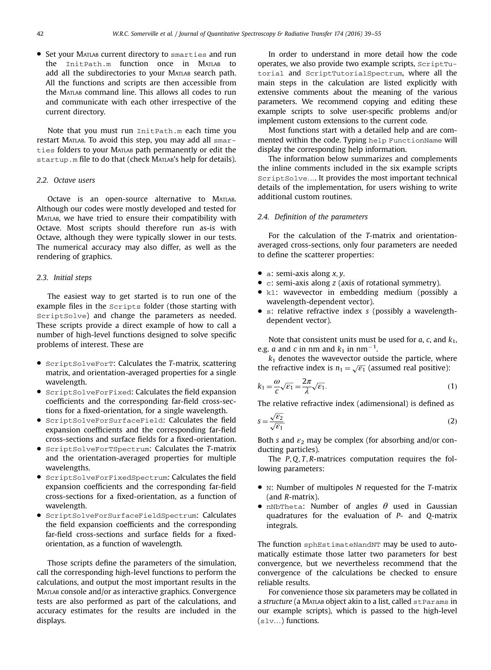<span id="page-3-0"></span>• Set your MATLAB current directory to smarties and run the InitPath.m function once in MATLAB to add all the subdirectories to your MATLAB search path. All the functions and scripts are then accessible from the MATLAB command line. This allows all codes to run and communicate with each other irrespective of the current directory.

Note that you must run InitPath.m each time you restart MATLAB. To avoid this step, you may add all smarties folders to your MATLAB path permanently or edit the startup.m file to do that (check MATLAB's help for details).

## 2.2. Octave users

Octave is an open-source alternative to MATLAB. Although our codes were mostly developed and tested for MATLAB, we have tried to ensure their compatibility with Octave. Most scripts should therefore run as-is with Octave, although they were typically slower in our tests. The numerical accuracy may also differ, as well as the rendering of graphics.

## 2.3. Initial steps

The easiest way to get started is to run one of the example files in the Scripts folder (those starting with ScriptSolve) and change the parameters as needed. These scripts provide a direct example of how to call a number of high-level functions designed to solve specific problems of interest. These are

- ScriptSolveForT: Calculates the T-matrix, scattering matrix, and orientation-averaged properties for a single wavelength.
- ScriptSolveForFixed: Calculates the field expansion coefficients and the corresponding far-field cross-sections for a fixed-orientation, for a single wavelength.
- ScriptSolveForSurfaceField: Calculates the field expansion coefficients and the corresponding far-field cross-sections and surface fields for a fixed-orientation.
- ScriptSolveForTSpectrum: Calculates the T-matrix and the orientation-averaged properties for multiple wavelengths.
- ScriptSolveForFixedSpectrum: Calculates the field expansion coefficients and the corresponding far-field cross-sections for a fixed-orientation, as a function of wavelength.
- ScriptSolveForSurfaceFieldSpectrum: Calculates the field expansion coefficients and the corresponding far-field cross-sections and surface fields for a fixedorientation, as a function of wavelength.

Those scripts define the parameters of the simulation, call the corresponding high-level functions to perform the calculations, and output the most important results in the MATLAB console and/or as interactive graphics. Convergence tests are also performed as part of the calculations, and accuracy estimates for the results are included in the displays.

In order to understand in more detail how the code operates, we also provide two example scripts, ScriptTutorial and ScriptTutorialSpectrum, where all the main steps in the calculation are listed explicitly with extensive comments about the meaning of the various parameters. We recommend copying and editing these example scripts to solve user-specific problems and/or implement custom extensions to the current code.

Most functions start with a detailed help and are commented within the code. Typing help FunctionName will display the corresponding help information.

The information below summarizes and complements the inline comments included in the six example scripts ScriptSolve…. It provides the most important technical details of the implementation, for users wishing to write additional custom routines.

#### 2.4. Definition of the parameters

For the calculation of the T-matrix and orientationaveraged cross-sections, only four parameters are needed to define the scatterer properties:

- a: semi-axis along  $x, y$ .
- $\bullet$  c: semi-axis along *z* (axis of rotational symmetry).
- k1: wavevector in embedding medium (possibly a wavelength-dependent vector).
- s: relative refractive index s (possibly a wavelengthdependent vector).

Note that consistent units must be used for  $a$ ,  $c$ , and  $k_1$ , e.g. *a* and *c* in nm and  $k_1$  in nm<sup>-1</sup>.

 $k_1$  denotes the wavevector outside the particle, where the refractive index is  $n_1 = \sqrt{\varepsilon_1}$  (assumed real positive):

$$
k_1 = \frac{\omega}{c} \sqrt{\varepsilon_1} = \frac{2\pi}{\lambda} \sqrt{\varepsilon_1}.
$$
 (1)

The relative refractive index (adimensional) is defined as

$$
S = \frac{\sqrt{\varepsilon_2}}{\sqrt{\varepsilon_1}}.\tag{2}
$$

Both s and  $\varepsilon_2$  may be complex (for absorbing and/or conducting particles).

The  $P, Q, T, R$ -matrices computation requires the following parameters:

- $\bullet$  N: Number of multipoles N requested for the T-matrix (and R-matrix).
- nNbTheta: Number of angles  $\theta$  used in Gaussian quadratures for the evaluation of P- and Q-matrix integrals.

The function sphEstimateNandNT may be used to automatically estimate those latter two parameters for best convergence, but we nevertheless recommend that the convergence of the calculations be checked to ensure reliable results.

For convenience those six parameters may be collated in a structure (a MATLAB object akin to a list, called stParams in our example scripts), which is passed to the high-level (slv…) functions.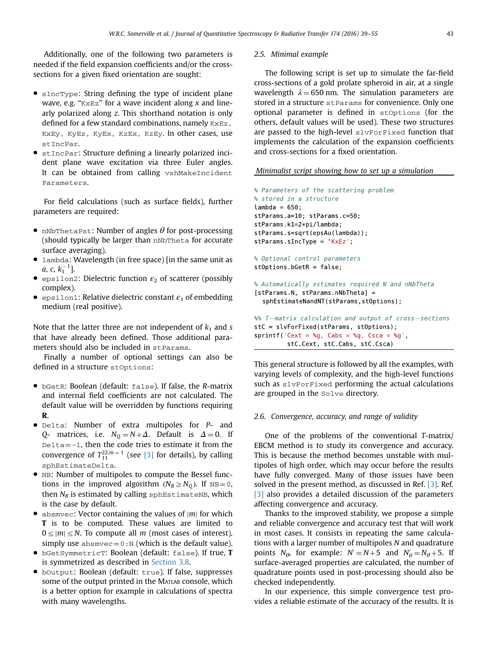<span id="page-4-0"></span>Additionally, one of the following two parameters is needed if the field expansion coefficients and/or the crosssections for a given fixed orientation are sought:

- sIncType: String defining the type of incident plane wave, e.g. " $KxEz$ " for a wave incident along x and linearly polarized along z. This shorthand notation is only defined for a few standard combinations, namely  $KxEz$ , KxEy, KyEz, KyEx, KzEx, KzEy. In other cases, use stIncPar.
- stIncPar: Structure defining a linearly polarized incident plane wave excitation via three Euler angles. It can be obtained from calling vshMakeIncident Parameters.

For field calculations (such as surface fields), further parameters are required:

- nNbThetaPst: Number of angles  $\theta$  for post-processing (should typically be larger than nNbTheta for accurate surface averaging).
- lambda: Wavelength (in free space) [in the same unit as a, c,  $k_1^{-1}$ ].
- $\bullet$  epsilon2: Dielectric function  $\varepsilon_2$  of scatterer (possibly complex).
- $\bullet$  epsilon1: Relative dielectric constant  $\varepsilon_1$  of embedding medium (real positive).

Note that the latter three are not independent of  $k_1$  and s that have already been defined. Those additional parameters should also be included in stParams.

Finally a number of optional settings can also be defined in a structure stOptions:

- bGetR: Boolean (default: false). If false, the R-matrix and internal field coefficients are not calculated. The default value will be overridden by functions requiring R.
- Delta: Number of extra multipoles for P- and Q- matrices, i.e.  $N_0 = N + \Delta$ . Default is  $\Delta = 0$ . If  $Delta=-1$ , then the code tries to estimate it from the convergence of  $T_{11}^{22,m=1}$  (see [\[3\]](#page-16-0) for details), by calling sphEstimateDelta.
- NB: Number of multipoles to compute the Bessel functions in the improved algorithm  $(N_B \ge N_0)$ . If  $NB = 0$ , then  $N_B$  is estimated by calling sphEstimateNB, which is the case by default.
- absmvec: Vector containing the values of  $|m|$  for which T is to be computed. These values are limited to  $0 \leq |m| \leq N$ . To compute all m (most cases of interest), simply use  $absmvec=0:N$  (which is the default value).
- bGetSymmetricT: Boolean (default: false). If true, T is symmetrized as described in [Section 3.8.](#page-10-0)
- bOutput: Boolean (default: true). If false, suppresses some of the output printed in the MATLAB console, which is a better option for example in calculations of spectra with many wavelengths.

#### 2.5. Minimal example

The following script is set up to simulate the far-field cross-sections of a gold prolate spheroid in air, at a single wavelength  $\lambda = 650$  nm. The simulation parameters are stored in a structure st Params for convenience. Only one optional parameter is defined in stOptions (for the others, default values will be used). These two structures are passed to the high-level slvForFixed function that implements the calculation of the expansion coefficients and cross-sections for a fixed orientation.

```
Minimalist script showing how to set up a simulation
```

```
% Parameters of the scattering problem
% stored in a structure
lambda = 650;stParams.a=10; stParams.c=50;
stParams.k1=2*pi/lambda;
stParams.s=sqrt(epsAu(lambda));
stParams.sIncType = 'KxEz';
% Optional control parameters
st0ptions.bGetR = false;% Automatically estimates required N and nNbTheta
[stParams.N, stParams.nNbTheta] =
  sphEstimateNandNT(stParams,stOptions);
%% T-matrix calculation and output of cross-sections
stC = slvForFixed(stParams, stOptions);
sprintf('Cext = %g, Cabs = %g, Csca = %g',
         stC.Cext, stC.Cabs, stC.Csca)
```
This general structure is followed by all the examples, with varying levels of complexity, and the high-level functions such as slvForFixed performing the actual calculations are grouped in the Solve directory.

#### 2.6. Convergence, accuracy, and range of validity

One of the problems of the conventional T-matrix/ EBCM method is to study its convergence and accuracy. This is because the method becomes unstable with multipoles of high order, which may occur before the results have fully converged. Many of those issues have been solved in the present method, as discussed in Ref. [\[3\].](#page-16-0) Ref. [\[3\]](#page-16-0) also provides a detailed discussion of the parameters affecting convergence and accuracy.

Thanks to the improved stability, we propose a simple and reliable convergence and accuracy test that will work in most cases. It consists in repeating the same calculations with a larger number of multipoles N and quadrature points  $N_{\theta}$ , for example:  $N' = N + 5$  and  $N'_{\theta} = N_{\theta} + 5$ . If surface-averaged properties are calculated, the number of quadrature points used in post-processing should also be checked independently.

In our experience, this simple convergence test provides a reliable estimate of the accuracy of the results. It is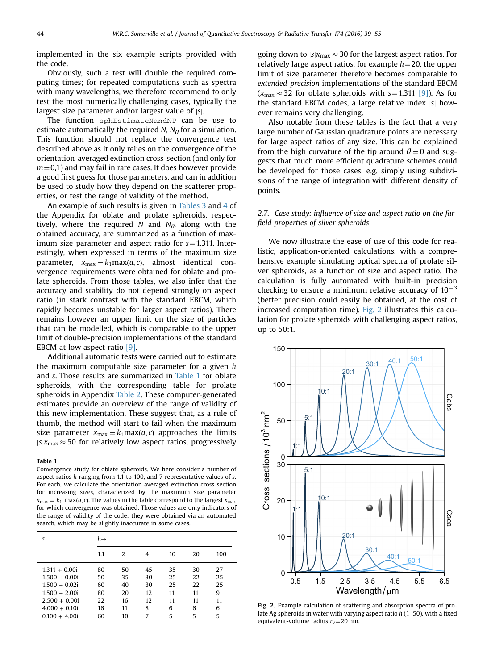<span id="page-5-0"></span>implemented in the six example scripts provided with the code.

Obviously, such a test will double the required computing times; for repeated computations such as spectra with many wavelengths, we therefore recommend to only test the most numerically challenging cases, typically the largest size parameter and/or largest value of  $|s|$ .

The function sphEstimateNandNT can be use to estimate automatically the required N,  $N_{\theta}$  for a simulation. This function should not replace the convergence test described above as it only relies on the convergence of the orientation-averaged extinction cross-section (and only for  $m=0,1$ ) and may fail in rare cases. It does however provide a good first guess for those parameters, and can in addition be used to study how they depend on the scatterer properties, or test the range of validity of the method.

An example of such results is given in [Tables 3](#page-14-0) and [4](#page-15-0) of the Appendix for oblate and prolate spheroids, respectively, where the required N and  $N_{\theta}$ , along with the obtained accuracy, are summarized as a function of maximum size parameter and aspect ratio for  $s = 1.311$ . Interestingly, when expressed in terms of the maximum size parameter,  $x_{max} = k_1 \max(a, c)$ , almost identical convergence requirements were obtained for oblate and prolate spheroids. From those tables, we also infer that the accuracy and stability do not depend strongly on aspect ratio (in stark contrast with the standard EBCM, which rapidly becomes unstable for larger aspect ratios). There remains however an upper limit on the size of particles that can be modelled, which is comparable to the upper limit of double-precision implementations of the standard EBCM at low aspect ratio [\[9\]](#page-16-0).

Additional automatic tests were carried out to estimate the maximum computable size parameter for a given  $h$ and s. Those results are summarized in Table 1 for oblate spheroids, with the corresponding table for prolate spheroids in Appendix [Table 2](#page-13-0). These computer-generated estimates provide an overview of the range of validity of this new implementation. These suggest that, as a rule of thumb, the method will start to fail when the maximum size parameter  $x_{max} = k_1 \max(a, c)$  approaches the limits  $|s|x_{\text{max}} \approx 50$  for relatively low aspect ratios, progressively

#### Table 1

Convergence study for oblate spheroids. We here consider a number of aspect ratios h ranging from 1.1 to 100, and 7 representative values of s. For each, we calculate the orientation-averaged extinction cross-section for increasing sizes, characterized by the maximum size parameter  $x_{\text{max}} = k_1$  max $(a, c)$ . The values in the table correspond to the largest  $x_{\text{max}}$ for which convergence was obtained. Those values are only indicators of the range of validity of the code; they were obtained via an automated search, which may be slightly inaccurate in some cases.

| S                                                                                                                                 | $h \rightarrow$                        |                                        |                                      |                                      |                                      |                                     |  |  |  |  |  |  |  |
|-----------------------------------------------------------------------------------------------------------------------------------|----------------------------------------|----------------------------------------|--------------------------------------|--------------------------------------|--------------------------------------|-------------------------------------|--|--|--|--|--|--|--|
|                                                                                                                                   | 1.1                                    | 2                                      | 4                                    | 10                                   | 20                                   | 100                                 |  |  |  |  |  |  |  |
| $1.311 + 0.00i$<br>$1.500 + 0.00i$<br>$1.500 + 0.02i$<br>$1.500 + 2.00i$<br>$2.500 + 0.00i$<br>$4.000 + 0.10i$<br>$0.100 + 4.00i$ | 80<br>50<br>60<br>80<br>22<br>16<br>60 | 50<br>35<br>40<br>20<br>16<br>11<br>10 | 45<br>30<br>30<br>12<br>12<br>8<br>7 | 35<br>25<br>25<br>11<br>11<br>6<br>5 | 30<br>22<br>22<br>11<br>11<br>6<br>5 | 27<br>25<br>25<br>9<br>11<br>6<br>5 |  |  |  |  |  |  |  |

going down to  $|s|x_{max} \approx 30$  for the largest aspect ratios. For relatively large aspect ratios, for example  $h = 20$ , the upper limit of size parameter therefore becomes comparable to extended-precision implementations of the standard EBCM  $(x_{\text{max}} \approx 32$  for oblate spheroids with s=1.311 [\[9\]](#page-16-0)). As for the standard EBCM codes, a large relative index |s| however remains very challenging.

Also notable from these tables is the fact that a very large number of Gaussian quadrature points are necessary for large aspect ratios of any size. This can be explained from the high curvature of the tip around  $\theta = 0$  and suggests that much more efficient quadrature schemes could be developed for those cases, e.g. simply using subdivisions of the range of integration with different density of points.

## 2.7. Case study: influence of size and aspect ratio on the farfield properties of silver spheroids

We now illustrate the ease of use of this code for realistic, application-oriented calculations, with a comprehensive example simulating optical spectra of prolate silver spheroids, as a function of size and aspect ratio. The calculation is fully automated with built-in precision checking to ensure a minimum relative accuracy of  $10^{-3}$ (better precision could easily be obtained, at the cost of increased computation time). Fig. 2 illustrates this calculation for prolate spheroids with challenging aspect ratios, up to 50:1.



Fig. 2. Example calculation of scattering and absorption spectra of prolate Ag spheroids in water with varying aspect ratio  $h$  (1–50), with a fixed equivalent-volume radius  $r_V = 20$  nm.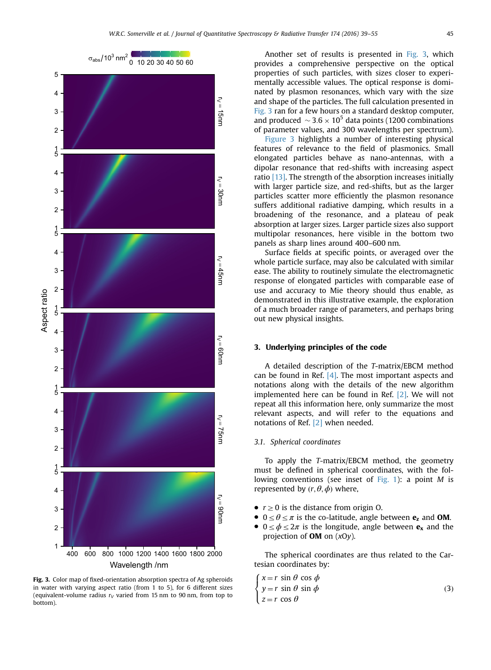<span id="page-6-0"></span>

Fig. 3. Color map of fixed-orientation absorption spectra of Ag spheroids in water with varying aspect ratio (from 1 to 5), for 6 different sizes (equivalent-volume radius  $r_V$  varied from 15 nm to 90 nm, from top to bottom).

Another set of results is presented in Fig. 3, which provides a comprehensive perspective on the optical properties of such particles, with sizes closer to experimentally accessible values. The optical response is dominated by plasmon resonances, which vary with the size and shape of the particles. The full calculation presented in Fig. 3 ran for a few hours on a standard desktop computer, and produced  $\sim$  3.6  $\times$  10<sup>5</sup> data points (1200 combinations of parameter values, and 300 wavelengths per spectrum).

Figure 3 highlights a number of interesting physical features of relevance to the field of plasmonics. Small elongated particles behave as nano-antennas, with a dipolar resonance that red-shifts with increasing aspect ratio [\[13\].](#page-16-0) The strength of the absorption increases initially with larger particle size, and red-shifts, but as the larger particles scatter more efficiently the plasmon resonance suffers additional radiative damping, which results in a broadening of the resonance, and a plateau of peak absorption at larger sizes. Larger particle sizes also support multipolar resonances, here visible in the bottom two panels as sharp lines around 400–600 nm.

Surface fields at specific points, or averaged over the whole particle surface, may also be calculated with similar ease. The ability to routinely simulate the electromagnetic response of elongated particles with comparable ease of use and accuracy to Mie theory should thus enable, as demonstrated in this illustrative example, the exploration of a much broader range of parameters, and perhaps bring out new physical insights.

## 3. Underlying principles of the code

A detailed description of the T-matrix/EBCM method can be found in Ref.  $[4]$ . The most important aspects and notations along with the details of the new algorithm implemented here can be found in Ref. [\[2\].](#page-16-0) We will not repeat all this information here, only summarize the most relevant aspects, and will refer to the equations and notations of Ref. [\[2\]](#page-16-0) when needed.

#### 3.1. Spherical coordinates

To apply the T-matrix/EBCM method, the geometry must be defined in spherical coordinates, with the fol-lowing conventions (see inset of [Fig. 1](#page-2-0)): a point  $M$  is represented by  $(r, \theta, \phi)$  where,

- $r \geq 0$  is the distance from origin O.
- $0 \le \theta \le \pi$  is the co-latitude, angle between  $e_z$  and **OM**.
- $0 \le \phi \le 2\pi$  is the longitude, angle between  $e_x$  and the projection of **OM** on  $(xOy)$ .

The spherical coordinates are thus related to the Cartesian coordinates by:

$$
\begin{cases}\n x = r \sin \theta \cos \phi \\
 y = r \sin \theta \sin \phi \\
 z = r \cos \theta\n\end{cases}
$$
\n(3)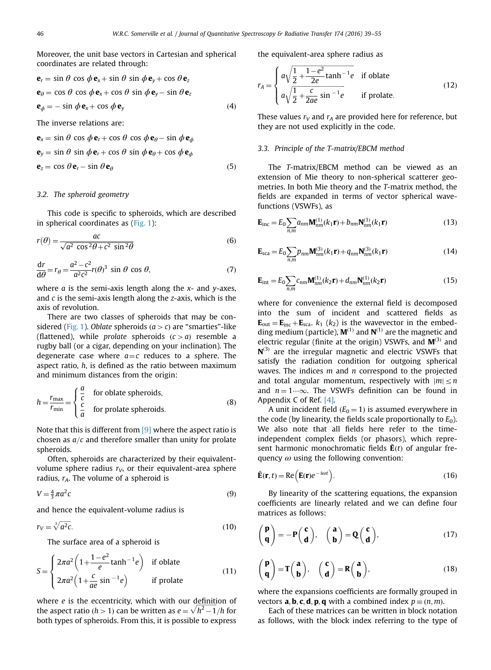<span id="page-7-0"></span>Moreover, the unit base vectors in Cartesian and spherical coordinates are related through:

$$
\mathbf{e}_r = \sin \theta \cos \phi \, \mathbf{e}_x + \sin \theta \sin \phi \, \mathbf{e}_y + \cos \theta \, \mathbf{e}_z
$$
\n
$$
\mathbf{e}_\theta = \cos \theta \cos \phi \, \mathbf{e}_x + \cos \theta \sin \phi \, \mathbf{e}_y - \sin \theta \, \mathbf{e}_z
$$
\n
$$
\mathbf{e}_\phi = -\sin \phi \, \mathbf{e}_x + \cos \phi \, \mathbf{e}_y \tag{4}
$$

The inverse relations are:

 ${\bf e}_x = \sin \theta \cos \phi {\bf e}_r + \cos \theta \cos \phi {\bf e}_\theta - \sin \phi {\bf e}_\phi$  $\mathbf{e}_y = \sin \theta \sin \phi \, \mathbf{e}_r + \cos \theta \sin \phi \, \mathbf{e}_{\theta} + \cos \phi \, \mathbf{e}_{\phi}$  $\mathbf{e}_z = \cos \theta \, \mathbf{e}_r - \sin \theta \, \mathbf{e}_\theta$  (5)

#### 3.2. The spheroid geometry

This code is specific to spheroids, which are described in spherical coordinates as [\(Fig. 1](#page-2-0)):

$$
r(\theta) = \frac{ac}{\sqrt{a^2 \cos^2 \theta + c^2 \sin^2 \theta}}
$$
(6)

$$
\frac{dr}{d\theta} = r_{\theta} = \frac{a^2 - c^2}{a^2 c^2} r(\theta)^3 \sin \theta \cos \theta, \tag{7}
$$

where  $\alpha$  is the semi-axis length along the  $x$ - and  $y$ -axes, and c is the semi-axis length along the z-axis, which is the axis of revolution.

There are two classes of spheroids that may be con-sidered ([Fig. 1](#page-2-0)). Oblate spheroids  $(a > c)$  are "smarties"-like (flattened), while *prolate* spheroids  $(c > a)$  resemble a rugby ball (or a cigar, depending on your inclination). The degenerate case where  $a=c$  reduces to a sphere. The aspect ratio,  $h$ , is defined as the ratio between maximum and minimum distances from the origin:

$$
h = \frac{r_{\text{max}}}{r_{\text{min}}} = \begin{cases} \frac{a}{c} & \text{for oblate spheroids,} \\ \frac{c}{a} & \text{for prolate spheroids.} \end{cases}
$$
(8)

Note that this is different from  $[9]$  where the aspect ratio is chosen as  $a/c$  and therefore smaller than unity for prolate spheroids.

Often, spheroids are characterized by their equivalentvolume sphere radius  $r<sub>V</sub>$ , or their equivalent-area sphere radius,  $r_A$ . The volume of a spheroid is

$$
V = \frac{4}{3}\pi a^2 c \tag{9}
$$

and hence the equivalent-volume radius is

$$
r_V = \sqrt[3]{a^2c}.\tag{10}
$$

The surface area of a spheroid is

$$
S = \begin{cases} 2\pi a^2 \left( 1 + \frac{1 - e^2}{e} \tanh^{-1} e \right) & \text{if oblate} \\ 2\pi a^2 \left( 1 + \frac{c}{ae} \sin^{-1} e \right) & \text{if prolate} \end{cases}
$$
(11)

where  $e$  is the eccentricity, which with our definition of the aspect ratio  $(h > 1)$  can be written as  $e = \sqrt{h^2 - 1}/h$  for both types of spheroids. From this, it is possible to express

the equivalent-area sphere radius as

$$
r_A = \begin{cases} a\sqrt{\frac{1}{2} + \frac{1 - e^2}{2e}} \tanh^{-1} e & \text{if oblate} \\ a\sqrt{\frac{1}{2} + \frac{c}{2ae}} \sin^{-1} e & \text{if prolate.} \end{cases}
$$
(12)

These values  $r_V$  and  $r_A$  are provided here for reference, but they are not used explicitly in the code.

#### 3.3. Principle of the T-matrix/EBCM method

The T-matrix/EBCM method can be viewed as an extension of Mie theory to non-spherical scatterer geometries. In both Mie theory and the T-matrix method, the fields are expanded in terms of vector spherical wavefunctions (VSWFs), as

$$
\mathbf{E}_{\rm inc} = E_0 \sum_{n,m} a_{nm} \mathbf{M}_{nm}^{(1)}(k_1 \mathbf{r}) + b_{nm} \mathbf{N}_{nm}^{(1)}(k_1 \mathbf{r})
$$
(13)

$$
\mathbf{E}_{\text{sca}} = E_0 \sum_{n,m} p_{nm} \mathbf{M}_{nm}^{(3)}(k_1 \mathbf{r}) + q_{nm} \mathbf{N}_{nm}^{(3)}(k_1 \mathbf{r})
$$
(14)

$$
\mathbf{E}_{int} = E_0 \sum_{n,m} c_{nm} \mathbf{M}_{nm}^{(1)}(k_2 \mathbf{r}) + d_{nm} \mathbf{N}_{nm}^{(1)}(k_2 \mathbf{r})
$$
(15)

where for convenience the external field is decomposed into the sum of incident and scattered fields as  $\mathbf{E}_{out} = \mathbf{E}_{inc} + \mathbf{E}_{sca}$ .  $k_1$  ( $k_2$ ) is the wavevector in the embedding medium (particle),  $M^{(1)}$  and  $N^{(1)}$  are the magnetic and electric regular (finite at the origin) VSWFs, and  $M^{(3)}$  and  $N^{(3)}$  are the irregular magnetic and electric VSWFs that satisfy the radiation condition for outgoing spherical waves. The indices  $m$  and  $n$  correspond to the projected and total angular momentum, respectively with  $|m| \le n$ and  $n = 1 \cdots \infty$ . The VSWFs definition can be found in Appendix C of Ref. [\[4\]](#page-16-0).

A unit incident field  $(E_0 = 1)$  is assumed everywhere in the code (by linearity, the fields scale proportionally to  $E_0$ ). We also note that all fields here refer to the timeindependent complex fields (or phasors), which represent harmonic monochromatic fields  $\tilde{E}(t)$  of angular frequency  $\omega$  using the following convention:

$$
\tilde{\mathbf{E}}(\mathbf{r},t) = \text{Re}\left(\mathbf{E}(\mathbf{r})e^{-i\omega t}\right). \tag{16}
$$

By linearity of the scattering equations, the expansion coefficients are linearly related and we can define four matrices as follows:

$$
\begin{pmatrix} \mathbf{p} \\ \mathbf{q} \end{pmatrix} = -\mathbf{P} \begin{pmatrix} \mathbf{c} \\ \mathbf{d} \end{pmatrix}, \quad \begin{pmatrix} \mathbf{a} \\ \mathbf{b} \end{pmatrix} = \mathbf{Q} \begin{pmatrix} \mathbf{c} \\ \mathbf{d} \end{pmatrix}, \tag{17}
$$

$$
\begin{pmatrix} \mathbf{p} \\ \mathbf{q} \end{pmatrix} = \mathbf{T} \begin{pmatrix} \mathbf{a} \\ \mathbf{b} \end{pmatrix}, \quad \begin{pmatrix} \mathbf{c} \\ \mathbf{d} \end{pmatrix} = \mathbf{R} \begin{pmatrix} \mathbf{a} \\ \mathbf{b} \end{pmatrix}, \tag{18}
$$

where the expansions coefficients are formally grouped in vectors **a**, **b**, **c**, **d**, **p**, **q** with a combined index  $p \equiv (n, m)$ .

Each of these matrices can be written in block notation as follows, with the block index referring to the type of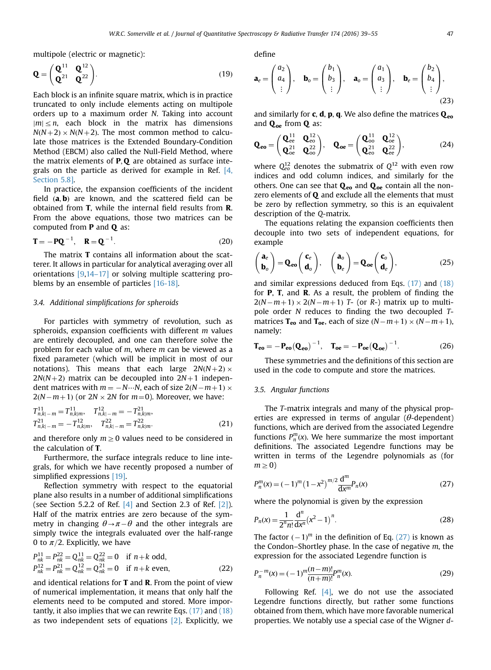<span id="page-8-0"></span>multipole (electric or magnetic):

$$
\mathbf{Q} = \begin{pmatrix} \mathbf{Q}^{11} & \mathbf{Q}^{12} \\ \mathbf{Q}^{21} & \mathbf{Q}^{22} \end{pmatrix}.
$$
 (19)

Each block is an infinite square matrix, which is in practice truncated to only include elements acting on multipole orders up to a maximum order N. Taking into account  $|m| \le n$ , each block in the matrix has dimensions  $N(N+2) \times N(N+2)$ . The most common method to calculate those matrices is the Extended Boundary-Condition Method (EBCM) also called the Null-Field Method, where the matrix elements of  $P$ ,  $Q$  are obtained as surface integrals on the particle as derived for example in Ref. [\[4,](#page-16-0) [Section 5.8\].](#page-16-0)

In practice, the expansion coefficients of the incident field  $(a, b)$  are known, and the scattered field can be obtained from T, while the internal field results from R. From the above equations, those two matrices can be computed from P and Q as:

$$
\mathbf{T} = -\mathbf{P}\mathbf{Q}^{-1}, \quad \mathbf{R} = \mathbf{Q}^{-1}.
$$
 (20)

The matrix T contains all information about the scatterer. It allows in particular for analytical averaging over all orientations [\[9,](#page-16-0)14–[17\]](#page-16-0) or solving multiple scattering pro-blems by an ensemble of particles [\[16-18\]](#page-16-0).

#### 3.4. Additional simplifications for spheroids

For particles with symmetry of revolution, such as spheroids, expansion coefficients with different m values are entirely decoupled, and one can therefore solve the problem for each value of  $m$ , where  $m$  can be viewed as a fixed parameter (which will be implicit in most of our notations). This means that each large  $2N(N+2) \times$  $2N(N+2)$  matrix can be decoupled into  $2N+1$  independent matrices with  $m = -N \cdots N$ , each of size  $2(N-m+1) \times$  $2(N-m+1)$  (or  $2N \times 2N$  for  $m=0$ ). Moreover, we have:

$$
T_{n,k|-m}^{11} = T_{n,k|m}^{11}, \quad T_{n,k|-m}^{12} = -T_{n,k|m}^{21},
$$
  
\n
$$
T_{n,k|-m}^{21} = -T_{n,k|m}^{12}, \quad T_{n,k|-m}^{22} = T_{n,k|m}^{22}.
$$
\n(21)

and therefore only  $m \geq 0$  values need to be considered in the calculation of T.

Furthermore, the surface integrals reduce to line integrals, for which we have recently proposed a number of simplified expressions [\[19\]](#page-16-0).

Reflection symmetry with respect to the equatorial plane also results in a number of additional simplifications (see Section 5.2.2 of Ref.  $[4]$  and Section 2.3 of Ref.  $[2]$ ). Half of the matrix entries are zero because of the symmetry in changing  $\theta \rightarrow \pi - \theta$  and the other integrals are simply twice the integrals evaluated over the half-range 0 to  $\pi/2$ . Explicitly, we have

$$
P_{nk}^{11} = P_{nk}^{22} = Q_{nk}^{11} = Q_{nk}^{22} = 0 \quad \text{if } n+k \text{ odd},
$$
  
\n
$$
P_{nk}^{12} = P_{nk}^{21} = Q_{nk}^{12} = Q_{nk}^{21} = 0 \quad \text{if } n+k \text{ even},
$$
\n(22)

and identical relations for  $T$  and  $R$ . From the point of view of numerical implementation, it means that only half the elements need to be computed and stored. More importantly, it also implies that we can rewrite Eqs.  $(17)$  and  $(18)$ as two independent sets of equations  $[2]$ . Explicitly, we

define

$$
\mathbf{a}_e = \begin{pmatrix} a_2 \\ a_4 \\ \vdots \end{pmatrix}, \quad \mathbf{b}_o = \begin{pmatrix} b_1 \\ b_3 \\ \vdots \end{pmatrix}, \quad \mathbf{a}_o = \begin{pmatrix} a_1 \\ a_3 \\ \vdots \end{pmatrix}, \quad \mathbf{b}_e = \begin{pmatrix} b_2 \\ b_4 \\ \vdots \end{pmatrix}, \tag{23}
$$

and similarly for **c**, **d**, **p**, **q**. We also define the matrices  $Q_{\text{en}}$ and  $Q_{\text{oe}}$  from  $Q$  as:

$$
\mathbf{Q}_{\mathbf{e}\mathbf{o}} = \begin{pmatrix} \mathbf{Q}_{\text{ce}}^{11} & \mathbf{Q}_{\text{e}\text{o}}^{12} \\ \mathbf{Q}_{\text{oe}}^{21} & \mathbf{Q}_{\text{oo}}^{22} \end{pmatrix}, \quad \mathbf{Q}_{\mathbf{o}\mathbf{e}} = \begin{pmatrix} \mathbf{Q}_{\text{o}\text{o}}^{11} & \mathbf{Q}_{\text{o}\text{c}}^{12} \\ \mathbf{Q}_{\text{e}\text{o}}^{21} & \mathbf{Q}_{\text{ce}}^{22} \end{pmatrix}, \tag{24}
$$

where  $Q_{eo}^{12}$  denotes the submatrix of  $Q^{12}$  with even row indices and odd column indices, and similarly for the others. One can see that  $Q_{eo}$  and  $Q_{oe}$  contain all the nonzero elements of  $Q$  and exclude all the elements that must be zero by reflection symmetry, so this is an equivalent description of the Q-matrix.

The equations relating the expansion coefficients then decouple into two sets of independent equations, for example

$$
\begin{pmatrix} \mathbf{a}_e \\ \mathbf{b}_o \end{pmatrix} = \mathbf{Q_{eo}} \begin{pmatrix} \mathbf{c}_e \\ \mathbf{d}_o \end{pmatrix}, \quad \begin{pmatrix} \mathbf{a}_o \\ \mathbf{b}_e \end{pmatrix} = \mathbf{Q_{oe}} \begin{pmatrix} \mathbf{c}_o \\ \mathbf{d}_e \end{pmatrix}, \tag{25}
$$

and similar expressions deduced from Eqs. [\(17\)](#page-7-0) and [\(18\)](#page-7-0) for  $P$ ,  $T$ , and  $R$ . As a result, the problem of finding the  $2(N-m+1) \times 2(N-m+1)$  T- (or R-) matrix up to multipole order N reduces to finding the two decoupled Tmatrices T<sub>eo</sub> and T<sub>oe</sub>, each of size  $(N-m+1) \times (N-m+1)$ , namely:

$$
T_{eo} = -P_{eo}(Q_{eo})^{-1}, \quad T_{oe} = -P_{oe}(Q_{oe})^{-1}.
$$
 (26)

These symmetries and the definitions of this section are used in the code to compute and store the matrices.

#### 3.5. Angular functions

The T-matrix integrals and many of the physical properties are expressed in terms of angular ( $\theta$ -dependent) functions, which are derived from the associated Legendre functions  $P_n^m(x)$ . We here summarize the most important definitions. The associated Legendre functions may be written in terms of the Legendre polynomials as (for  $m\geq 0$ )

$$
P_n^m(x) = (-1)^m (1 - x^2)^{m/2} \frac{d^m}{dx^m} P_n(x)
$$
 (27)

where the polynomial is given by the expression

$$
P_n(x) = \frac{1}{2^n n!} \frac{d^n}{dx^n} (x^2 - 1)^n.
$$
 (28)

The factor  $(-1)^m$  in the definition of Eq. (27) is known as the Condon–Shortley phase. In the case of negative  $m$ , the expression for the associated Legendre function is

$$
P_n^{-m}(x) = (-1)^m \frac{(n-m)!}{(n+m)!} P_n^m(x).
$$
 (29)

Following Ref.  $[4]$ , we do not use the associated Legendre functions directly, but rather some functions obtained from them, which have more favorable numerical properties. We notably use a special case of the Wigner d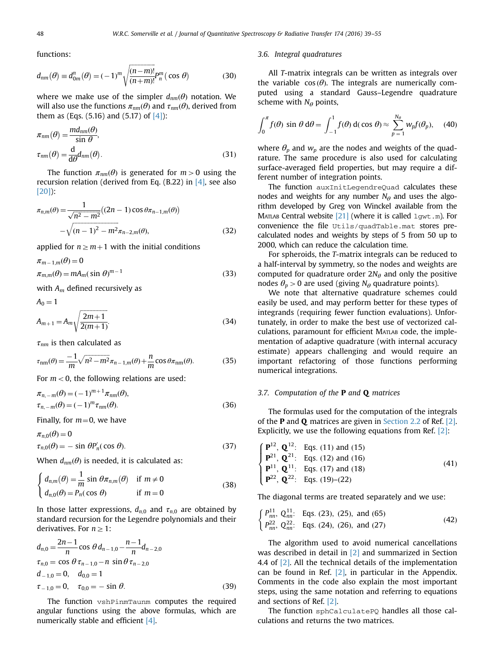functions:

$$
d_{nm}(\theta) \equiv d_{0m}^n(\theta) = (-1)^m \sqrt{\frac{(n-m)!}{(n+m)!}} P_n^m(\cos \theta)
$$
 (30)

where we make use of the simpler  $d_{nm}(\theta)$  notation. We will also use the functions  $\pi_{nm}(\theta)$  and  $\tau_{nm}(\theta)$ , derived from them as (Eqs.  $(5.16)$  and  $(5.17)$  of  $[4]$ ):

$$
\pi_{nm}(\theta) = \frac{md_{nm}(\theta)}{\sin \theta},
$$
  
\n
$$
\tau_{nm}(\theta) = \frac{d}{d\theta}d_{nm}(\theta).
$$
\n(31)

The function  $\pi_{nm}(\theta)$  is generated for  $m>0$  using the recursion relation (derived from Eq.  $(B.22)$  in  $[4]$ , see also [\[20\]](#page-16-0)):

$$
\pi_{n,m}(\theta) = \frac{1}{\sqrt{n^2 - m^2}} ((2n - 1)\cos\theta \pi_{n-1,m}(\theta))
$$

$$
-\sqrt{(n-1)^2 - m^2} \pi_{n-2,m}(\theta),
$$
(32)

applied for  $n \geq m+1$  with the initial conditions

$$
\pi_{m-1,m}(\theta) = 0
$$
  
\n
$$
\pi_{m,m}(\theta) = mA_m(\sin \theta)^{m-1}
$$
\n(33)

with  $A_m$  defined recursively as

 $A_0 = 1$ 

$$
A_{m+1} = A_m \sqrt{\frac{2m+1}{2(m+1)}}.
$$
\n(34)

 $\tau_{nm}$  is then calculated as

$$
\tau_{nm}(\theta) = \frac{-1}{m} \sqrt{n^2 - m^2} \pi_{n-1,m}(\theta) + \frac{n}{m} \cos \theta \pi_{nm}(\theta). \tag{35}
$$

For  $m < 0$ , the following relations are used:

$$
\pi_{n,-m}(\theta) = (-1)^{m+1} \pi_{nm}(\theta),
$$
  
\n
$$
\tau_{n,-m}(\theta) = (-1)^m \tau_{nm}(\theta).
$$
\n(36)

Finally, for  $m=0$ , we have

$$
\pi_{n,0}(\theta) = 0
$$
  
\n
$$
\pi_{n,0}(\theta) = -\sin \theta P'_n(\cos \theta).
$$
\n(37)

When  $d_{nm}(\theta)$  is needed, it is calculated as:

$$
\begin{cases}\n d_{n,m}(\theta) = \frac{1}{m} \sin \theta \pi_{n,m}(\theta) & \text{if } m \neq 0 \\
 d_{n,0}(\theta) = P_n(\cos \theta) & \text{if } m = 0\n\end{cases}
$$
\n(38)

In those latter expressions,  $d_{n,0}$  and  $\tau_{n,0}$  are obtained by standard recursion for the Legendre polynomials and their derivatives. For  $n \geq 1$ :

$$
d_{n,0} = \frac{2n-1}{n} \cos \theta \, d_{n-1,0} - \frac{n-1}{n} d_{n-2,0}
$$
  
\n
$$
\tau_{n,0} = \cos \theta \, \tau_{n-1,0} - n \, \sin \theta \, \tau_{n-2,0}
$$
  
\n
$$
d_{-1,0} = 0, \quad d_{0,0} = 1
$$
  
\n
$$
\tau_{-1,0} = 0, \quad \tau_{0,0} = -\sin \theta.
$$
 (39)

The function vshPinmTaunm computes the required angular functions using the above formulas, which are numerically stable and efficient  $[4]$ .

#### 3.6. Integral quadratures

All T-matrix integrals can be written as integrals over the variable  $cos(\theta)$ . The integrals are numerically computed using a standard Gauss–Legendre quadrature scheme with  $N_{\theta}$  points,

$$
\int_0^{\pi} f(\theta) \sin \theta \, d\theta = \int_{-1}^1 f(\theta) \, d(\cos \theta) \approx \sum_{p=1}^{N_{\theta}} w_p f(\theta_p), \quad (40)
$$

where  $\theta_p$  and  $w_p$  are the nodes and weights of the quadrature. The same procedure is also used for calculating surface-averaged field properties, but may require a different number of integration points.

The function auxInitLegendreQuad calculates these nodes and weights for any number  $N_{\theta}$  and uses the algorithm developed by Greg von Winckel available from the MATLAB Central website  $[21]$  (where it is called  $1$ gwt.m). For convenience the file Utils/quadTable.mat stores precalculated nodes and weights by steps of 5 from 50 up to 2000, which can reduce the calculation time.

For spheroids, the T-matrix integrals can be reduced to a half-interval by symmetry, so the nodes and weights are computed for quadrature order  $2N_{\theta}$  and only the positive nodes  $\theta_p > 0$  are used (giving N<sub>θ</sub> quadrature points).

We note that alternative quadrature schemes could easily be used, and may perform better for these types of integrands (requiring fewer function evaluations). Unfortunately, in order to make the best use of vectorized calculations, paramount for efficient MATLAB code, the implementation of adaptive quadrature (with internal accuracy estimate) appears challenging and would require an important refactoring of those functions performing numerical integrations.

#### 3.7. Computation of the  $P$  and  $Q$  matrices

The formulas used for the computation of the integrals of the P and Q matrices are given in [Section 2.2](#page-3-0) of Ref. [\[2\]](#page-16-0). Explicitly, we use the following equations from Ref. [\[2\]](#page-16-0):

$$
\begin{cases}\n\mathbf{P}^{12}, \mathbf{Q}^{12}: \text{ Eqs. (11) and (15)} \\
\mathbf{P}^{21}, \mathbf{Q}^{21}: \text{ Eqs. (12) and (16)} \\
\mathbf{P}^{11}, \mathbf{Q}^{11}: \text{ Eqs. (17) and (18)} \\
\mathbf{P}^{22}, \mathbf{Q}^{22}: \text{ Eqs. (19)-(22)}\n\end{cases}
$$
\n(41)

The diagonal terms are treated separately and we use:

$$
\begin{cases}\nP_{nn}^{11}, Q_{nn}^{11}: \text{ Eqs. (23), (25), and (65)} \\
P_{nn}^{22}, Q_{nn}^{22}: \text{ Eqs. (24), (26), and (27)}\n\end{cases}
$$
\n(42)

The algorithm used to avoid numerical cancellations was described in detail in  $[2]$  and summarized in Section 4.4 of [\[2\]](#page-16-0). All the technical details of the implementation can be found in Ref.  $[2]$ , in particular in the Appendix. Comments in the code also explain the most important steps, using the same notation and referring to equations and sections of Ref. [\[2\]](#page-16-0).

The function sphCalculatePQ handles all those calculations and returns the two matrices.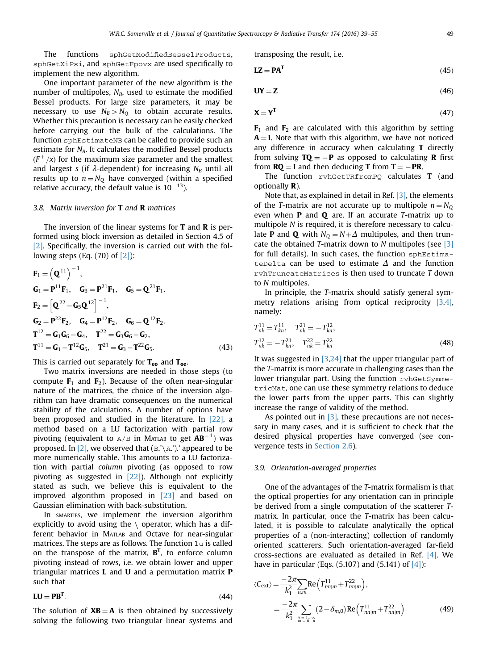<span id="page-10-0"></span>The functions sphGetModifiedBesselProducts, sphGetXiPsi, and sphGetFpovx are used specifically to implement the new algorithm.

One important parameter of the new algorithm is the number of multipoles,  $N_B$ , used to estimate the modified Bessel products. For large size parameters, it may be necessary to use  $N_B > N_Q$  to obtain accurate results. Whether this precaution is necessary can be easily checked before carrying out the bulk of the calculations. The function sphEstimateNB can be called to provide such an estimate for  $N_B$ . It calculates the modified Bessel products  $(F^+ / x)$  for the maximum size parameter and the smallest and largest s (if  $\lambda$ -dependent) for increasing  $N_B$  until all results up to  $n = N<sub>0</sub>$  have converged (within a specified relative accuracy, the default value is  $10^{-13}$ ).

#### 3.8. Matrix inversion for  $T$  and  $R$  matrices

The inversion of the linear systems for  $T$  and  $R$  is performed using block inversion as detailed in Section 4.5 of [\[2\]](#page-16-0). Specifically, the inversion is carried out with the following steps (Eq.  $(70)$  of  $[2]$ ):

$$
F_1 = (Q^{11})^{-1},
$$
  
\n
$$
G_1 = P^{11}F_1, G_3 = P^{21}F_1, G_5 = Q^{21}F_1.
$$
  
\n
$$
F_2 = [Q^{22} - G_5Q^{12}]^{-1},
$$
  
\n
$$
G_2 = P^{22}F_2, G_4 = P^{12}F_2, G_6 = Q^{12}F_2.
$$
  
\n
$$
T^{12} = G_1G_6 - G_4, T^{22} = G_3G_6 - G_2,
$$
  
\n
$$
T^{11} = G_1 - T^{12}G_5, T^{21} = G_3 - T^{22}G_5.
$$
\n(43)

This is carried out separately for  $T_{eo}$  and  $T_{oe}$ .

Two matrix inversions are needed in those steps (to compute  $\mathbf{F}_1$  and  $\mathbf{F}_2$ ). Because of the often near-singular nature of the matrices, the choice of the inversion algorithm can have dramatic consequences on the numerical stability of the calculations. A number of options have been proposed and studied in the literature. In [\[22\]](#page-16-0), a method based on a LU factorization with partial row pivoting (equivalent to  $A/B$  in MATLAB to get  $\mathbf{A}\mathbf{B}^{-1})$  was proposed. In [\[2\]](#page-16-0), we observed that  $(B.\,'\A)$ .' appeared to be more numerically stable. This amounts to a LU factorization with partial column pivoting (as opposed to row pivoting as suggested in [\[22\]](#page-16-0)). Although not explicitly stated as such, we believe this is equivalent to the improved algorithm proposed in [\[23\]](#page-16-0) and based on Gaussian elimination with back-substitution.

In SMARTIES, we implement the inversion algorithm explicitly to avoid using the  $\setminus$  operator, which has a different behavior in MATLAB and Octave for near-singular matrices. The steps are as follows. The function  $1u$  is called on the transpose of the matrix,  $B<sup>T</sup>$ , to enforce column pivoting instead of rows, i.e. we obtain lower and upper triangular matrices L and U and a permutation matrix P such that

$$
LU = PBT.
$$
 (44)

The solution of  $XB = A$  is then obtained by successively solving the following two triangular linear systems and

transposing the result, i.e.

$$
LZ = PA^{T}
$$
 (45)

$$
UV = Z \tag{46}
$$

$$
\mathbf{X} = \mathbf{Y}^{\mathrm{T}} \tag{47}
$$

 $\mathbf{F}_1$  and  $\mathbf{F}_2$  are calculated with this algorithm by setting  $A = I$ . Note that with this algorithm, we have not noticed any difference in accuracy when calculating T directly from solving  $TQ = -P$  as opposed to calculating **R** first from  $\text{RO} = \text{I}$  and then deducing **T** from  $\text{T} = -\text{PR}$ .

The function rvhGetTRfromPQ calculates T (and optionally **).** 

Note that, as explained in detail in Ref. [\[3\]](#page-16-0), the elements of the T-matrix are not accurate up to multipole  $n = N<sub>Q</sub>$ even when  $P$  and  $Q$  are. If an accurate T-matrix up to multipole N is required, it is therefore necessary to calculate **P** and **Q** with  $N_0 = N + \Delta$  multipoles, and then truncate the obtained T-matrix down to  $N$  multipoles (see [\[3\]](#page-16-0) for full details). In such cases, the function sphEstimateDelta can be used to estimate  $\Delta$  and the function rvhTruncateMatrices is then used to truncate T down to N multipoles.

In principle, the T-matrix should satisfy general symmetry relations arising from optical reciprocity [\[3,4\]](#page-16-0), namely:

$$
T_{nk}^{11} = T_{kn}^{11}, \quad T_{nk}^{21} = -T_{kn}^{12},
$$
  
\n
$$
T_{nk}^{12} = -T_{kn}^{21}, \quad T_{nk}^{22} = T_{kn}^{22}.
$$
\n(48)

It was suggested in  $\left[3,24\right]$  that the upper triangular part of the T-matrix is more accurate in challenging cases than the lower triangular part. Using the function ryhGetSymmetricMat, one can use these symmetry relations to deduce the lower parts from the upper parts. This can slightly increase the range of validity of the method.

As pointed out in  $[3]$ , these precautions are not necessary in many cases, and it is sufficient to check that the desired physical properties have converged (see convergence tests in [Section 2.6\)](#page-4-0).

#### 3.9. Orientation-averaged properties

One of the advantages of the T-matrix formalism is that the optical properties for any orientation can in principle be derived from a single computation of the scatterer Tmatrix. In particular, once the T-matrix has been calculated, it is possible to calculate analytically the optical properties of a (non-interacting) collection of randomly oriented scatterers. Such orientation-averaged far-field cross-sections are evaluated as detailed in Ref. [\[4\]](#page-16-0). We have in particular (Eqs.  $(5.107)$  and  $(5.141)$  of  $[4]$ ):

$$
\langle C_{ext} \rangle = \frac{-2\pi}{k_1^2} \sum_{n,m} \text{Re} \left( T_{nn|m}^{11} + T_{nn|m}^{22} \right),
$$
  
= 
$$
\frac{-2\pi}{k_1^2} \sum_{\substack{n=1 \dots \infty \\ n=0 \dots n}} (2 - \delta_{m,0}) \text{Re} \left( T_{nn|m}^{11} + T_{nn|m}^{22} \right)
$$
(49)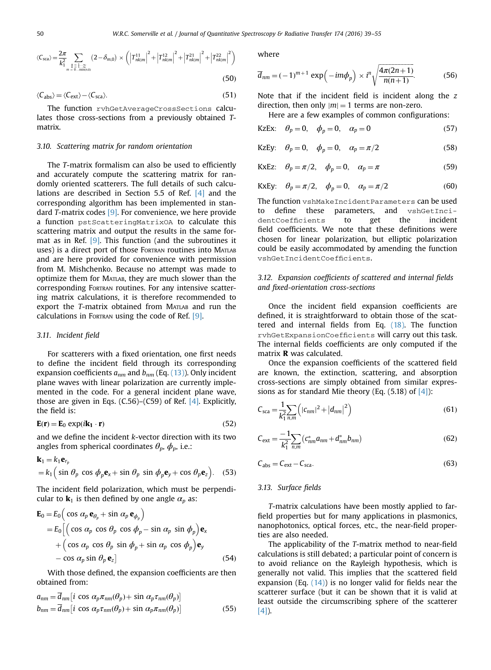$$
\langle C_{\text{sca}} \rangle = \frac{2\pi}{k_1^2} \sum_{\substack{n \text{ odd} \\ n \equiv 0 \pmod{1} \\ n \equiv 0 \pmod{1}}} (2 - \delta_{m,0}) \times \left( \left| T_{nk|m}^{11} \right|^2 + \left| T_{nk|m}^{12} \right|^2 + \left| T_{nk|m}^{21} \right|^2 + \left| T_{nk|m}^{22} \right|^2 \right)
$$
\n
$$
(50)
$$

$$
\langle C_{\rm abs} \rangle = \langle C_{\rm ext} \rangle - \langle C_{\rm sca} \rangle. \tag{51}
$$

The function rvhGetAverageCrossSections calculates those cross-sections from a previously obtained Tmatrix.

#### 3.10. Scattering matrix for random orientation

The T-matrix formalism can also be used to efficiently and accurately compute the scattering matrix for randomly oriented scatterers. The full details of such calculations are described in Section 5.5 of Ref. [\[4\]](#page-16-0) and the corresponding algorithm has been implemented in standard T-matrix codes  $[9]$ . For convenience, we here provide a function pstScatteringMatrixOA to calculate this scattering matrix and output the results in the same format as in Ref. [\[9\].](#page-16-0) This function (and the subroutines it uses) is a direct port of those FORTRAN routines into MATLAB and are here provided for convenience with permission from M. Mishchenko. Because no attempt was made to optimize them for MATLAB, they are much slower than the corresponding FORTRAN routines. For any intensive scattering matrix calculations, it is therefore recommended to export the T-matrix obtained from MATLAB and run the calculations in FORTRAN using the code of Ref. [\[9\]](#page-16-0).

#### 3.11. Incident field

For scatterers with a fixed orientation, one first needs to define the incident field through its corresponding expansion coefficients  $a_{nm}$  and  $b_{nm}$  (Eq. [\(13\)](#page-7-0)). Only incident plane waves with linear polarization are currently implemented in the code. For a general incident plane wave, those are given in Eqs.  $(C.56)$ – $(C59)$  of Ref. [\[4\]](#page-16-0). Explicitly, the field is:

$$
\mathbf{E}(\mathbf{r}) = \mathbf{E}_0 \exp(i\mathbf{k}_1 \cdot \mathbf{r})
$$
 (52)

and we define the incident k-vector direction with its two angles from spherical coordinates  $\theta_p$ ,  $\phi_p$ , i.e.:

$$
\mathbf{k}_1 = k_1 \mathbf{e}_{r_p}
$$
  
=  $k_1 \left( \sin \theta_p \cos \phi_p \mathbf{e}_x + \sin \theta_p \sin \phi_p \mathbf{e}_y + \cos \theta_p \mathbf{e}_z \right)$ . (53)

The incident field polarization, which must be perpendicular to  $\mathbf{k}_1$  is then defined by one angle  $\alpha_p$  as:

$$
\mathbf{E}_0 = E_0 \Big( \cos \alpha_p \mathbf{e}_{\theta_p} + \sin \alpha_p \mathbf{e}_{\phi_p} \Big)
$$
  
\n
$$
= E_0 \Big[ \Big( \cos \alpha_p \cos \theta_p \cos \phi_p - \sin \alpha_p \sin \phi_p \Big) \mathbf{e}_x
$$
  
\n
$$
+ \Big( \cos \alpha_p \cos \theta_p \sin \phi_p + \sin \alpha_p \cos \phi_p \Big) \mathbf{e}_y
$$
  
\n
$$
- \cos \alpha_p \sin \theta_p \mathbf{e}_z \Big]
$$
(54)

With those defined, the expansion coefficients are then obtained from:

$$
a_{nm} = \overline{d}_{nm} \left[ i \cos \alpha_p \pi_{nm}(\theta_p) + \sin \alpha_p \pi_{nm}(\theta_p) \right]
$$
  
\n
$$
b_{nm} = \overline{d}_{nm} \left[ i \cos \alpha_p \pi_{nm}(\theta_p) + \sin \alpha_p \pi_{nm}(\theta_p) \right]
$$
\n(55)

where

$$
\overline{d}_{nm} = (-1)^{m+1} \exp\left(-im\phi_p\right) \times i^n \sqrt{\frac{4\pi(2n+1)}{n(n+1)}}.
$$
 (56)

Note that if the incident field is incident along the z direction, then only  $|m| = 1$  terms are non-zero.

Here are a few examples of common configurations:

$$
KzEx: \quad \theta_p = 0, \quad \phi_p = 0, \quad \alpha_p = 0 \tag{57}
$$

KzEy: 
$$
\theta_p = 0
$$
,  $\phi_p = 0$ ,  $\alpha_p = \pi/2$  (58)

KxEz: 
$$
\theta_p = \pi/2
$$
,  $\phi_p = 0$ ,  $\alpha_p = \pi$  (59)

KxEy: 
$$
\theta_p = \pi/2
$$
,  $\phi_p = 0$ ,  $\alpha_p = \pi/2$  (60)

The function vshMakeIncidentParameters can be used to define these parameters, and vshGetIncidentCoefficients to get the incident field coefficients. We note that these definitions were chosen for linear polarization, but elliptic polarization could be easily accommodated by amending the function vshGetIncidentCoefficients.

## 3.12. Expansion coefficients of scattered and internal fields and fixed-orientation cross-sections

Once the incident field expansion coefficients are defined, it is straightforward to obtain those of the scattered and internal fields from Eq.  $(18)$ . The function rvhGetExpansionCoefficients will carry out this task. The internal fields coefficients are only computed if the matrix R was calculated.

Once the expansion coefficients of the scattered field are known, the extinction, scattering, and absorption cross-sections are simply obtained from similar expressions as for standard Mie theory (Eq.  $(5.18)$  of  $[4]$ ):

$$
C_{\text{sca}} = \frac{1}{k_1^2} \sum_{n,m} \left( |c_{nm}|^2 + |d_{nm}|^2 \right) \tag{61}
$$

$$
C_{\text{ext}} = \frac{-1}{k_1^2} \sum_{n,m} \left( c_{nm}^* a_{nm} + d_{nm}^* b_{nm} \right) \tag{62}
$$

$$
C_{\rm abs} = C_{\rm ext} - C_{\rm sca}.\tag{63}
$$

## 3.13. Surface fields

T-matrix calculations have been mostly applied to farfield properties but for many applications in plasmonics, nanophotonics, optical forces, etc., the near-field properties are also needed.

The applicability of the T-matrix method to near-field calculations is still debated; a particular point of concern is to avoid reliance on the Rayleigh hypothesis, which is generally not valid. This implies that the scattered field expansion (Eq.  $(14)$ ) is no longer valid for fields near the scatterer surface (but it can be shown that it is valid at least outside the circumscribing sphere of the scatterer [\[4\]\)](#page-16-0).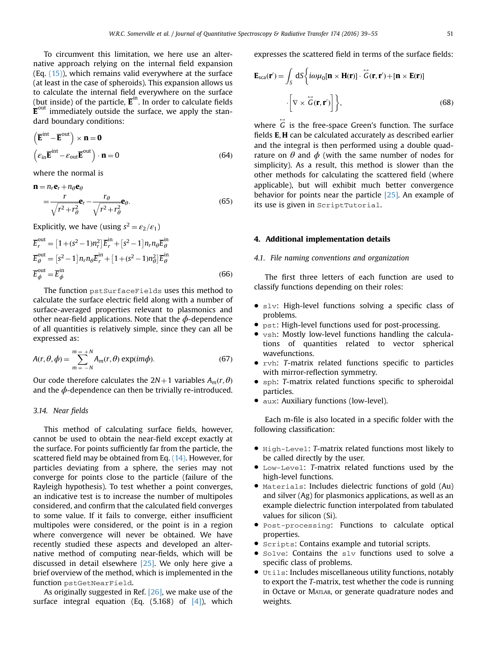<span id="page-12-0"></span>To circumvent this limitation, we here use an alternative approach relying on the internal field expansion  $(Eq. (15))$  $(Eq. (15))$  $(Eq. (15))$ , which remains valid everywhere at the surface (at least in the case of spheroids). This expansion allows us to calculate the internal field everywhere on the surface (but inside) of the particle,  $\overline{E}^{in}$ . In order to calculate fields  $\mathbf{\dot{E}}^{\text{out}}$  immediately outside the surface, we apply the standard boundary conditions:

$$
\left(\overline{\mathbf{E}}^{\text{int}} - \overline{\mathbf{E}}^{\text{out}}\right) \times \mathbf{n} = \mathbf{0}
$$
\n
$$
\left(\varepsilon_{\text{in}} \overline{\mathbf{E}}^{\text{int}} - \varepsilon_{\text{out}} \overline{\mathbf{E}}^{\text{out}}\right) \cdot \mathbf{n} = 0
$$
\n(64)

where the normal is

$$
\mathbf{n} = n_r \mathbf{e}_r + n_\theta \mathbf{e}_\theta \n= \frac{r}{\sqrt{r^2 + r_\theta^2}} \mathbf{e}_r - \frac{r_\theta}{\sqrt{r^2 + r_\theta^2}} \mathbf{e}_\theta.
$$
\n(65)

Explicitly, we have (using  $s^2 = \varepsilon_2/\varepsilon_1$ )

$$
\begin{aligned} \overline{E}_r^{\text{out}} &= \left[1 + (s^2 - 1)n_r^2\right] \overline{E}_r^{\text{in}} + \left[s^2 - 1\right] n_r n_\theta \overline{E}_\theta^{\text{in}} \\ E_\theta^{\text{out}} &= \left[s^2 - 1\right] n_r n_\theta \overline{E}_r^{\text{in}} + \left[1 + (s^2 - 1)n_\theta^2\right] \overline{E}_\theta^{\text{in}} \\ \overline{E}_\phi^{\text{out}} &= \overline{E}_\phi^{\text{in}} \end{aligned} \tag{66}
$$

The function pstSurfaceFields uses this method to calculate the surface electric field along with a number of surface-averaged properties relevant to plasmonics and other near-field applications. Note that the  $\phi$ -dependence of all quantities is relatively simple, since they can all be expressed as:

$$
A(r,\theta,\phi) = \sum_{m=-N}^{m=-N} A_m(r,\theta) \exp(im\phi).
$$
 (67)

Our code therefore calculates the  $2N+1$  variables  $A_m(r, \theta)$ and the  $\phi$ -dependence can then be trivially re-introduced.

## 3.14. Near fields

This method of calculating surface fields, however, cannot be used to obtain the near-field except exactly at the surface. For points sufficiently far from the particle, the scattered field may be obtained from Eq. [\(14\).](#page-7-0) However, for particles deviating from a sphere, the series may not converge for points close to the particle (failure of the Rayleigh hypothesis). To test whether a point converges, an indicative test is to increase the number of multipoles considered, and confirm that the calculated field converges to some value. If it fails to converge, either insufficient multipoles were considered, or the point is in a region where convergence will never be obtained. We have recently studied these aspects and developed an alternative method of computing near-fields, which will be discussed in detail elsewhere [\[25\]](#page-16-0). We only here give a brief overview of the method, which is implemented in the function pstGetNearField.

As originally suggested in Ref. [\[26\],](#page-16-0) we make use of the surface integral equation (Eq. (5.168) of [\[4\]](#page-16-0)), which expresses the scattered field in terms of the surface fields:

$$
\mathbf{E}_{\text{sca}}(\mathbf{r}') = \int_{S} dS \left\{ i\omega\mu_{0}[\mathbf{n} \times \mathbf{H}(\mathbf{r})] \cdot \overleftrightarrow{G}(\mathbf{r}, \mathbf{r}') + [\mathbf{n} \times \mathbf{E}(\mathbf{r})] \right.
$$

$$
\cdot \left[ \nabla \times \overleftrightarrow{G}(\mathbf{r}, \mathbf{r}') \right], \tag{68}
$$

where  $\vec{G}$  is the free-space Green's function. The surface fields **E**, **H** can be calculated accurately as described earlier and the integral is then performed using a double quadrature on  $\theta$  and  $\phi$  (with the same number of nodes for simplicity). As a result, this method is slower than the other methods for calculating the scattered field (where applicable), but will exhibit much better convergence behavior for points near the particle [\[25\].](#page-16-0) An example of its use is given in ScriptTutorial.

#### 4. Additional implementation details

#### 4.1. File naming conventions and organization

The first three letters of each function are used to classify functions depending on their roles:

- $\bullet$  slv: High-level functions solving a specific class of problems.
- pst: High-level functions used for post-processing.
- vsh: Mostly low-level functions handling the calculations of quantities related to vector spherical wavefunctions.
- rvh: T-matrix related functions specific to particles with mirror-reflection symmetry.
- sph: T-matrix related functions specific to spheroidal particles.
- aux: Auxiliary functions (low-level).

Each m-file is also located in a specific folder with the following classification:

- $\bullet$  High-Level: T-matrix related functions most likely to be called directly by the user.
- Low-Level: T-matrix related functions used by the high-level functions.
- $\bullet$  Materials: Includes dielectric functions of gold (Au) and silver (Ag) for plasmonics applications, as well as an example dielectric function interpolated from tabulated values for silicon (Si).
- Post-processing: Functions to calculate optical properties.
- Scripts: Contains example and tutorial scripts.
- $\bullet$  Solve: Contains the slv functions used to solve a specific class of problems.
- Utils: Includes miscellaneous utility functions, notably to export the T-matrix, test whether the code is running in Octave or MATLAB, or generate quadrature nodes and weights.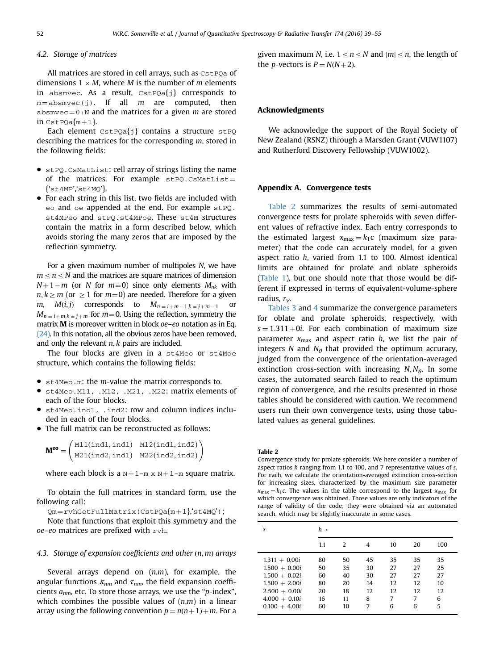## <span id="page-13-0"></span>4.2. Storage of matrices

All matrices are stored in cell arrays, such as CstPQa of dimensions  $1 \times M$ , where *M* is the number of *m* elements in absmvec. As a result, CstPQa{j} corresponds to  $m =$ absmvec(j). If all m are computed, then  $ab$ smvec = 0:N and the matrices for a given m are stored in  $CstPOa{m+1}$ .

Each element CstPOa{j} contains a structure stPO describing the matrices for the corresponding m, stored in the following fields:

- stPQ.CsMatList: cell array of strings listing the name of the matrices. For example  $step$ . CsMatList = {'st4MP','st4MQ'}.
- For each string in this list, two fields are included with eo and oe appended at the end. For example stPO. st4MPeo and stPQ.st4MPoe. These st4M structures contain the matrix in a form described below, which avoids storing the many zeros that are imposed by the reflection symmetry.

For a given maximum number of multipoles N, we have  $m \le n \le N$  and the matrices are square matrices of dimension  $N+1-m$  (or N for  $m=0$ ) since only elements  $M_{nk}$  with  $n, k \ge m$  (or  $\ge 1$  for  $m=0$ ) are needed. Therefore for a given *m*,  $M(i,j)$  corresponds to  $M_{n=i+m-1,k=j+m-1}$  or  $M_{n=i+m,k=j+m}$  for  $m=0$ . Using the reflection, symmetry the matrix **M** is moreover written in block oe–eo notation as in Eq. [\(24\)](#page-8-0). In this notation, all the obvious zeros have been removed, and only the relevant  $n, k$  pairs are included.

The four blocks are given in a st4Meo or st4Moe structure, which contains the following fields:

- st4Meo.m: the m-value the matrix corresponds to.
- st4Meo.M11, .M12, .M21, .M22: matrix elements of each of the four blocks.
- st4Meo.ind1, .ind2: row and column indices included in each of the four blocks.
- The full matrix can be reconstructed as follows:

 $M^{eo} = \begin{pmatrix} \texttt{M11}(\texttt{ind1}, \texttt{ind1}) & \texttt{M12}(\texttt{ind1}, \texttt{ind2}) \\ \texttt{M21}(\texttt{ind2}, \texttt{ind1}) & \texttt{M22}(\texttt{ind2}, \texttt{ind2}) \end{pmatrix}$  $\left(\text{M11}(ind1, ind1) \quad \text{M12}(ind1, ind2)\right)$ 

where each block is a  $N+1-m \times N+1-m$  square matrix.

To obtain the full matrices in standard form, use the following call:

Qm¼rvhGetFullMatrix(CstPQa{mþ1},'st4MQ');

Note that functions that exploit this symmetry and the oe–eo matrices are prefixed with rvh.

#### 4.3. Storage of expansion coefficients and other  $(n, m)$  arrays

Several arrays depend on  $(n,m)$ , for example, the angular functions  $\pi_{nm}$  and  $\tau_{nm}$ , the field expansion coefficients  $a_{nm}$ , etc. To store those arrays, we use the "p-index", which combines the possible values of  $(n,m)$  in a linear array using the following convention  $p = n(n+1) + m$ . For a

given maximum N, i.e.  $1 \le n \le N$  and  $|m| \le n$ , the length of the *p*-vectors is  $P = N(N+2)$ .

#### Acknowledgments

We acknowledge the support of the Royal Society of New Zealand (RSNZ) through a Marsden Grant (VUW1107) and Rutherford Discovery Fellowship (VUW1002).

#### Appendix A. Convergence tests

Table 2 summarizes the results of semi-automated convergence tests for prolate spheroids with seven different values of refractive index. Each entry corresponds to the estimated largest  $x_{\text{max}} = k_1c$  (maximum size parameter) that the code can accurately model, for a given aspect ratio h, varied from 1.1 to 100. Almost identical limits are obtained for prolate and oblate spheroids ([Table 1](#page-5-0)), but one should note that those would be different if expressed in terms of equivalent-volume-sphere radius,  $r<sub>V</sub>$ .

[Tables 3](#page-14-0) and [4](#page-15-0) summarize the convergence parameters for oblate and prolate spheroids, respectively, with  $s = 1.311 + 0i$ . For each combination of maximum size parameter  $x_{\text{max}}$  and aspect ratio h, we list the pair of integers N and  $N_{\theta}$  that provided the optimum accuracy, judged from the convergence of the orientation-averaged extinction cross-section with increasing  $N, N_{\theta}$ . In some cases, the automated search failed to reach the optimum region of convergence, and the results presented in those tables should be considered with caution. We recommend users run their own convergence tests, using those tabulated values as general guidelines.

Table 2

Convergence study for prolate spheroids. We here consider a number of aspect ratios h ranging from 1.1 to 100, and 7 representative values of s. For each, we calculate the orientation-averaged extinction cross-section for increasing sizes, characterized by the maximum size parameter  $x_{\text{max}} = k_1 c$ . The values in the table correspond to the largest  $x_{\text{max}}$  for which convergence was obtained. Those values are only indicators of the range of validity of the code; they were obtained via an automated search, which may be slightly inaccurate in some cases.

| s                                                                                                                                 | $h \rightarrow$                        |                                        |                                      |                                      |                                      |                                      |  |  |  |  |  |  |
|-----------------------------------------------------------------------------------------------------------------------------------|----------------------------------------|----------------------------------------|--------------------------------------|--------------------------------------|--------------------------------------|--------------------------------------|--|--|--|--|--|--|
|                                                                                                                                   | 1.1                                    | 2                                      | 4                                    | 10                                   | 20                                   | 100                                  |  |  |  |  |  |  |
| $1.311 + 0.00i$<br>$1.500 + 0.00i$<br>$1.500 + 0.02i$<br>$1.500 + 2.00i$<br>$2.500 + 0.00i$<br>$4.000 + 0.10i$<br>$0.100 + 4.00i$ | 80<br>50<br>60<br>80<br>20<br>16<br>60 | 50<br>35<br>40<br>20<br>18<br>11<br>10 | 45<br>30<br>30<br>14<br>12<br>8<br>7 | 35<br>27<br>27<br>12<br>12<br>7<br>6 | 35<br>27<br>27<br>12<br>12<br>7<br>6 | 35<br>25<br>27<br>10<br>12<br>6<br>5 |  |  |  |  |  |  |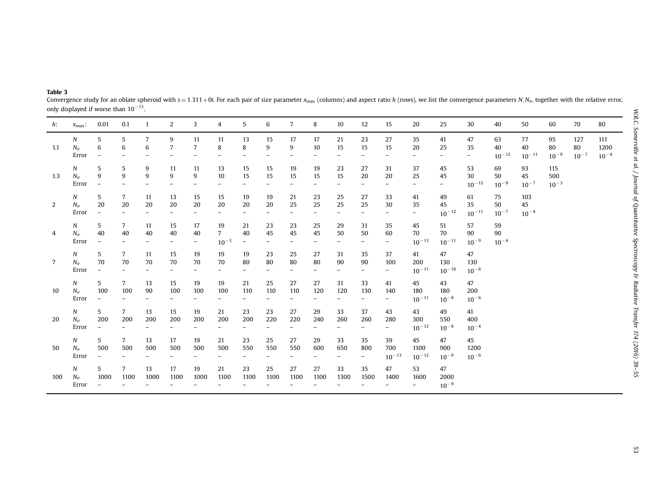## <span id="page-14-0"></span>Table 3

h:: x<sub>max</sub>: 0.01 0.1 1 2 3 4 5 6 7 8 10 12 15 20 25 30 40 50 60 70 80 N 5 5 7 9 11 11 13 15 17 17 21 23 27 35 41 47 63 77 95 127 111 1.1 $N_{\theta}$  $\frac{1}{\theta}$  6 6 6 7 7 8 8 9 9 10 15 15 15 20 25 35 40 40 80 80 1200 Errorしんきょう しゅうしゅう こうしゅう しゅうしゅう しゅうしゅう しゅうしゅう しゅうしゅうしゅ  $-$  10<sup>-12</sup> 10<sup>-11</sup> 10<sup>-9</sup> 10<sup>-7</sup> 10<sup>-4</sup> N 5 5 9 11 11 13 15 15 19 19 23 27 31 37 45 53 69 93 115 1.3 $N_{\theta}$  $\frac{1}{9}$  9 9 9 9 9 10 15 15 15 15 15 20 20 25 45 30 50 45 500 Error – –– –– – ––––––– – – $-$  10<sup>-12</sup> 10<sup>-9</sup> 10<sup>-7</sup> 10<sup>-3</sup> N 5 7 11 13 15 15 19 19 21 23 25 27 33 41 49 61 75 103 2 $N_{\theta}$  $\frac{1}{\theta}$  20 20 20 20 20 20 20 25 25 25 25 30 35 45 35 50 45 Error – –– –– – ––––––– –-  $10^{-12}$   $10^{-11}$   $10^{-7}$   $10^{-4}$ N 5 7 11 15 17 19 21 23 23 25 29 31 35 45 51 57 59 4 $N_{\theta}$  $\frac{1}{\theta}$  40 40 40 40 7 40 45 45 45 50 50 60 70 70 90 90 Error – –– –– $-$  10<sup>-3</sup> – – – – – – – – 10<sup>-13</sup> 10<sup>-11</sup> 10<sup>-9</sup> 10<sup>-4</sup> N 5 7 11 15 19 19 19 23 25 27 31 35 37 41 47 47 7 $N_{\theta}$  $\alpha_g$  70 70 70 70 70 80 80 80 80 90 90 100 200 130 130 Errorしんきょう しゅうしゅう こうしゅう こうしん こうしゅう こうしゅう こうしゅう こうしゅう こうしゅう こうしゅう こうしゅう こうしゅうしょう こうしゅうしょう  $-$  10<sup>-11</sup> 10<sup>-10</sup> 10<sup>-6</sup> N 5 7 13 15 19 19 21 25 27 27 31 33 41 45 43 47 10 $N_e$  $^{\prime}_{\theta}$  100 100 90 100 100 100 110 110 110 120 120 130 140 180 180 200 Errorしんきょう しゅうしゅう こうしゅう こうしん こうしゅう こうしゅう こうしゅう こうしゅう こうしゅう こうしゅう こうしゅう こうしゅうしょう こうしゅうしょう  $-$  10<sup>-11</sup> 10<sup>-8</sup> 10<sup>-6</sup> N 5 7 13 15 19 21 23 23 27 29 33 37 43 43 49 41 20 $N_{\theta}$  $\sigma_\theta$  200 200 200 200 200 200 200 220 220 240 260 260 280 300 550 400 Errorしんきょう しゅうしゅう こうしゅう こうしん こうしゅう こうしゅう こうしゅう こうしゅう こうしゅう こうしゅう こうしゅう こうしゅうしょう こうしゅうしょう  $-$  10<sup>-12</sup> 10<sup>-8</sup> 10<sup>-4</sup> N 5 7 13 17 19 21 23 25 27 29 33 35 39 45 47 45 50 $N_{\theta}$  $\sigma_\theta$  500 500 500 500 500 550 550 550 600 650 800 700 1100 900 1200 Error – –– –– – –––––– $-$  10<sup>-13</sup> 10<sup>-12</sup> 10<sup>-9</sup> 10<sup>-6</sup> N 5 7 13 17 19 21 23 25 27 27 33 35 47 53 47 100 $N_{\theta}$  1000 1100 1000 1100 1000 1100 1100 1100 1100 1100 1300 1500 1400 1600 2000 Error – –– –– – ––––––– – $- 10^{-9}$ 

Convergence study for an oblate spheroid with  $s = 1.311 + 0i$ . For each pair of size parameter  $x_{\text{max}}$  (columns) and aspect ratio h (rows), we list the convergence parameters N; N<sub>0</sub>, together with the relative error, only displayed if worse than  $10^{-13}$ .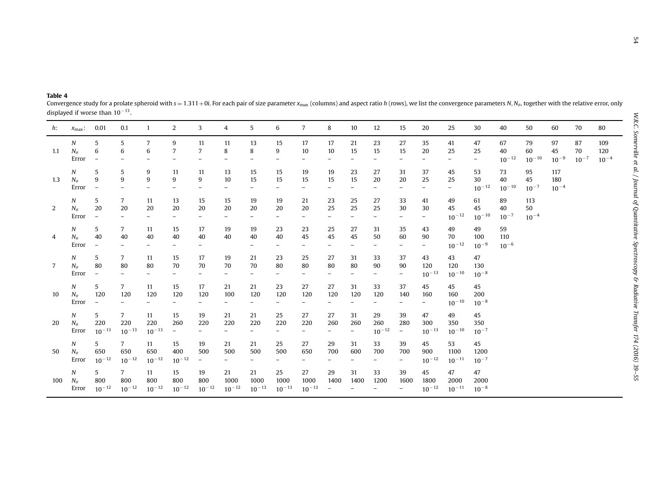| h:  | $x_{\text{max}}$ :<br>N    | 0.01                                | 0.1                                           | $\mathbf{1}$                         | 2                                     | 3                                     |                               |                                      |                                      |                                      |                                        |                                       |                                      |                                       |                                      |                                      |                                      |                        |                        |                         |                       |                         |
|-----|----------------------------|-------------------------------------|-----------------------------------------------|--------------------------------------|---------------------------------------|---------------------------------------|-------------------------------|--------------------------------------|--------------------------------------|--------------------------------------|----------------------------------------|---------------------------------------|--------------------------------------|---------------------------------------|--------------------------------------|--------------------------------------|--------------------------------------|------------------------|------------------------|-------------------------|-----------------------|-------------------------|
|     |                            |                                     |                                               |                                      |                                       |                                       | 4                             | 5                                    | 6                                    | $\overline{7}$                       | 8                                      | 10                                    | 12                                   | 15                                    | 20                                   | 25                                   | 30                                   | 40                     | 50                     | 60                      | 70                    | 80                      |
| 1.1 | $N_a$<br>Error             | 5<br>6<br>$\overline{\phantom{a}}$  | 5<br>6                                        | 7<br>6                               | 9<br>7                                | 11<br>$\overline{7}$                  | 11<br>8                       | 13<br>8                              | 15<br>9<br>$\overline{\phantom{0}}$  | 17<br>10                             | 17<br>10                               | 21<br>15                              | 23<br>15                             | 27<br>15                              | 35<br>20<br>$\overline{\phantom{0}}$ | 41<br>25                             | 47<br>25<br>$\overline{\phantom{0}}$ | 67<br>40<br>$10^{-12}$ | 79<br>60<br>$10^{-10}$ | 97<br>45<br>$10^{-9}$   | 87<br>70<br>$10^{-7}$ | 109<br>120<br>$10^{-4}$ |
| 1.3 | N<br>$N_{\theta}$<br>Error | 5<br>9                              | 5<br>9                                        | 9<br>9                               | 11<br>9                               | 11<br>9                               | 13<br>10                      | 15<br>15                             | 15<br>15                             | 19<br>15<br>-                        | 19<br>15                               | 23<br>15                              | 27<br>20                             | 31<br>20                              | 37<br>25<br>$\overline{\phantom{0}}$ | 45<br>25<br>$\overline{\phantom{0}}$ | 53<br>30<br>$10^{-12}$               | 73<br>40<br>$10^{-10}$ | 95<br>45<br>$10^{-7}$  | 117<br>180<br>$10^{-4}$ |                       |                         |
| 2   | N<br>$N_{\theta}$<br>Error | 5<br>20<br>$\overline{\phantom{0}}$ | $7^{\circ}$<br>20<br>$\overline{\phantom{a}}$ | 11<br>20<br>$\overline{\phantom{m}}$ | 13<br>20<br>$\overline{\phantom{0}}$  | 15<br>20<br>$\overline{\phantom{a}}$  | 15<br>20<br>$\qquad \qquad -$ | 19<br>20<br>$\overline{\phantom{m}}$ | 19<br>20<br>$\overline{\phantom{0}}$ | 21<br>20<br>$\overline{\phantom{0}}$ | 23<br>25<br>$\overline{\phantom{0}}$   | 25<br>25                              | 27<br>25<br>$\overline{\phantom{0}}$ | 33<br>30<br>$\overline{\phantom{m}}$  | 41<br>30<br>$\overline{\phantom{a}}$ | 49<br>45<br>$10^{-12}$               | 61<br>45<br>$10^{-10}$               | 89<br>40<br>$10^{-7}$  | 113<br>50<br>$10^{-4}$ |                         |                       |                         |
| 4   | N<br>$N_{\theta}$<br>Error | 5<br>40                             | 7<br>40<br>$-$                                | 11<br>40<br>$\overline{\phantom{a}}$ | 15<br>40<br>-                         | 17<br>40<br>$\overline{\phantom{m}}$  | 19<br>40                      | 19<br>40<br>$\overline{\phantom{0}}$ | 23<br>40<br>-                        | 23<br>45<br>$\overline{\phantom{0}}$ | 25<br>45<br>$\equiv$                   | 27<br>45<br>-                         | 31<br>50<br>$\overline{\phantom{0}}$ | 35<br>60<br>$\overline{\phantom{a}}$  | 43<br>90<br>$-$                      | 49<br>70<br>$10^{-12}$               | 49<br>100<br>$10^{-9}$               | 59<br>110<br>$10^{-6}$ |                        |                         |                       |                         |
| 7   | N<br>$N_{\theta}$<br>Error | 5<br>80                             | $\overline{7}$<br>80                          | 11<br>80                             | 15<br>70                              | 17<br>70                              | 19<br>70                      | 21<br>70                             | 23<br>80                             | 25<br>80<br>Ξ.                       | 27<br>80                               | 31<br>80                              | 33<br>90<br>$\overline{\phantom{0}}$ | 37<br>90<br>$\qquad \qquad -$         | 43<br>120<br>$10^{-13}$              | 43<br>120<br>$10^{-10}$              | 47<br>130<br>$10^{-8}$               |                        |                        |                         |                       |                         |
| 10  | N<br>$N_{\theta}$<br>Error | 5<br>120                            | $\overline{7}$<br>120                         | 11<br>120                            | 15<br>120                             | 17<br>120                             | 21<br>100                     | 21<br>120                            | 23<br>120                            | 27<br>120                            | 27<br>120                              | 31<br>120                             | 33<br>120                            | 37<br>140                             | 45<br>160                            | 45<br>160<br>$10^{-10}$              | 45<br>200<br>$10^{-8}$               |                        |                        |                         |                       |                         |
| 20  | N<br>$N_{\theta}$<br>Error | 5.<br>220<br>$10^{-13}$             | $\overline{7}$<br>220<br>$10^{-13}$           | 11<br>220<br>$10^{-13}$              | 15<br>260<br>$\overline{\phantom{0}}$ | 19<br>220<br>$\overline{\phantom{a}}$ | 21<br>220<br>-                | 21<br>220                            | 25<br>220                            | 27<br>220<br>Ξ.                      | 27<br>260                              | 31<br>260<br>$\overline{\phantom{a}}$ | 29<br>260<br>$10^{-12}$              | 39<br>280<br>$\overline{\phantom{a}}$ | 47<br>300<br>$10^{-13}$              | 49<br>350<br>$10^{-10}$              | 45<br>350<br>$10^{-7}$               |                        |                        |                         |                       |                         |
| 50  | N<br>$N_{\theta}$<br>Error | 5<br>650<br>$10^{-12}$              | $7^{\circ}$<br>650<br>$10^{-12}$              | 11<br>650<br>$10^{-12}$              | 15<br>400<br>$10^{-12}$               | 19<br>500<br>$\overline{\phantom{a}}$ | 21<br>500<br>$\equiv$         | 21<br>500                            | 25<br>500                            | 27<br>650                            | 29<br>700                              | 31<br>600                             | 33<br>700                            | 39<br>700<br>$\overline{\phantom{a}}$ | 45<br>900<br>$10^{-12}$              | 53<br>1100<br>$10^{-11}$             | 45<br>1200<br>$10^{-7}$              |                        |                        |                         |                       |                         |
| 100 | N<br>$N_{\theta}$<br>Error | 5<br>800<br>$10^{-12}$              | $\overline{7}$<br>800<br>$10^{-12}$           | 11<br>800<br>$10^{-12}$              | 15<br>800<br>$10^{-12}$               | 19<br>800<br>$10^{-12}$               | 21<br>1000<br>$10^{-12}$      | 21<br>1000<br>$10^{-13}$             | 25<br>1000<br>$10^{-13}$             | 27<br>1000<br>$10^{-13}$             | 29<br>1400<br>$\overline{\phantom{m}}$ | 31<br>1400                            | 33<br>1200                           | 39<br>1600                            | 45<br>1800<br>$10^{-12}$             | 47<br>2000<br>$10^{-11}$             | 47<br>2000<br>$10^{-8}$              |                        |                        |                         |                       |                         |

<span id="page-15-0"></span>Table 4Convergence study for a prolate spheroid with  $s = 1.311 + 0i$ . For each pair of size parameter  $x<sub>max</sub>$  (columns) and aspect ratio h (rows), we list the convergence parameters N, N<sub>e</sub>, together with the relative error, o displayed if worse than  $10^{-13}$ .

W.R.C. Somerville et al. / Journal of Quantitative Spectroscopy & Radiative Transfer 174 (2016) 39 W.R.C. Somerville et al. / Journal of Quantitative Spectroscopy & Radiative Transfer 174 (2016) 39-55